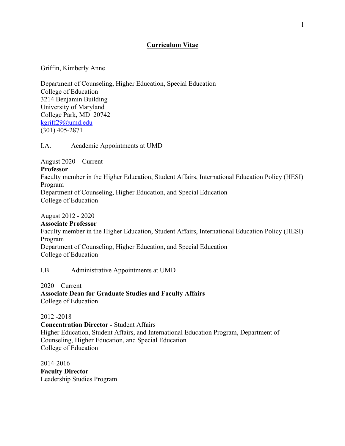# **Curriculum Vitae**

Griffin, Kimberly Anne

Department of Counseling, Higher Education, Special Education College of Education 3214 Benjamin Building University of Maryland College Park, MD 20742 kgriff29@umd.edu (301) 405-2871

## I.A. Academic Appointments at UMD

August 2020 – Current **Professor** Faculty member in the Higher Education, Student Affairs, International Education Policy (HESI) Program Department of Counseling, Higher Education, and Special Education College of Education

August 2012 - 2020

**Associate Professor** Faculty member in the Higher Education, Student Affairs, International Education Policy (HESI) Program Department of Counseling, Higher Education, and Special Education College of Education

## I.B. Administrative Appointments at UMD

 $2020$  – Current **Associate Dean for Graduate Studies and Faculty Affairs** College of Education

2012 -2018

**Concentration Director -** Student Affairs Higher Education, Student Affairs, and International Education Program, Department of Counseling, Higher Education, and Special Education College of Education

2014-2016 **Faculty Director** Leadership Studies Program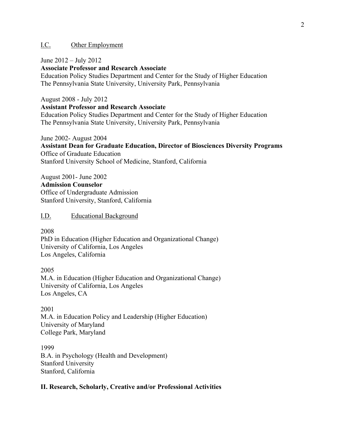## I.C. Other Employment

June 2012 – July 2012

**Associate Professor and Research Associate**

Education Policy Studies Department and Center for the Study of Higher Education The Pennsylvania State University, University Park, Pennsylvania

August 2008 - July 2012

**Assistant Professor and Research Associate**

Education Policy Studies Department and Center for the Study of Higher Education The Pennsylvania State University, University Park, Pennsylvania

June 2002- August 2004

**Assistant Dean for Graduate Education, Director of Biosciences Diversity Programs** Office of Graduate Education Stanford University School of Medicine, Stanford, California

August 2001- June 2002 **Admission Counselor** Office of Undergraduate Admission Stanford University, Stanford, California

I.D. Educational Background

2008

PhD in Education (Higher Education and Organizational Change) University of California, Los Angeles Los Angeles, California

2005 M.A. in Education (Higher Education and Organizational Change) University of California, Los Angeles Los Angeles, CA

2001 M.A. in Education Policy and Leadership (Higher Education) University of Maryland College Park, Maryland

1999 B.A. in Psychology (Health and Development) Stanford University Stanford, California

## **II. Research, Scholarly, Creative and/or Professional Activities**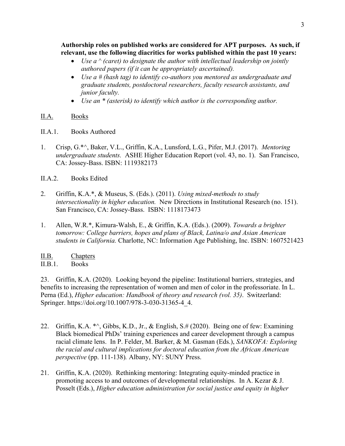**Authorship roles on published works are considered for APT purposes. As such, if relevant, use the following diacritics for works published within the past 10 years:**

- *Use a*  $\wedge$  (caret) to designate the author with intellectual leadership on jointly *authored papers (if it can be appropriately ascertained).*
- *Use a # (hash tag) to identify co-authors you mentored as undergraduate and graduate students, postdoctoral researchers, faculty research assistants, and junior faculty.*
- *Use an \* (asterisk) to identify which author is the corresponding author.*

## II.A. Books

- II.A.1. Books Authored
- 1. Crisp, G.\*^, Baker, V.L., Griffin, K.A., Lunsford, L.G., Pifer, M.J. (2017). *Mentoring undergraduate students.* ASHE Higher Education Report (vol. 43, no. 1). San Francisco, CA: Jossey-Bass. ISBN: 1119382173
- II.A.2. Books Edited
- 2. Griffin, K.A.\*, & Museus, S. (Eds.). (2011). *Using mixed-methods to study intersectionality in higher education.* New Directions in Institutional Research (no. 151). San Francisco, CA: Jossey-Bass. ISBN: 1118173473
- 1. Allen, W.R.\*, Kimura-Walsh, E., & Griffin, K.A. (Eds.). (2009). *Towards a brighter tomorrow: College barriers, hopes and plans of Black, Latina/o and Asian American students in California.* Charlotte, NC: Information Age Publishing, Inc. ISBN: 1607521423

# II.B. Chapters

II.B.1. Books

23. Griffin, K.A. (2020). Looking beyond the pipeline: Institutional barriers, strategies, and benefits to increasing the representation of women and men of color in the professoriate. In L. Perna (Ed.), *Higher education: Handbook of theory and research (vol. 35)*. Switzerland: Springer. https://doi.org/10.1007/978-3-030-31365-4\_4.

- 22. Griffin, K.A. \*^, Gibbs, K.D., Jr., & English, S.# (2020). Being one of few: Examining Black biomedical PhDs' training experiences and career development through a campus racial climate lens. In P. Felder, M. Barker, & M. Gasman (Eds.), *SANKOFA: Exploring the racial and cultural implications for doctoral education from the African American perspective* (pp. 111-138)*.* Albany, NY: SUNY Press.
- 21. Griffin, K.A. (2020). Rethinking mentoring: Integrating equity-minded practice in promoting access to and outcomes of developmental relationships. In A. Kezar & J. Posselt (Eds.), *Higher education administration for social justice and equity in higher*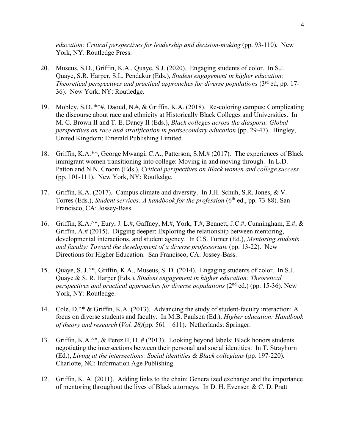*education: Critical perspectives for leadership and decision-making* (pp. 93-110)*.* New York, NY: Routledge Press.

- 20. Museus, S.D., Griffin, K.A., Quaye, S.J. (2020). Engaging students of color. In S.J. Quaye, S.R. Harper, S.L. Pendakur (Eds.), *Student engagement in higher education: Theoretical perspectives and practical approaches for diverse populations* (3rd ed, pp. 17- 36). New York, NY: Routledge.
- 19. Mobley, S.D. \*^#, Daoud, N.#, & Griffin, K.A. (2018). Re-coloring campus: Complicating the discourse about race and ethnicity at Historically Black Colleges and Universities. In M. C. Brown II and T. E. Dancy II (Eds.), *Black colleges across the diaspora: Global perspectives on race and stratification in postsecondary education (pp. 29-47). Bingley,* United Kingdom: Emerald Publishing Limited
- 18. Griffin, K.A.\*^, George Mwangi, C.A., Patterson, S.M.# (2017). The experiences of Black immigrant women transitioning into college: Moving in and moving through. In L.D. Patton and N.N. Croom (Eds.), *Critical perspectives on Black women and college success* (pp. 101-111). New York, NY: Routledge.
- 17. Griffin, K.A. (2017). Campus climate and diversity. In J.H. Schuh, S.R. Jones, & V. Torres (Eds.), *Student services: A handbook for the profession* (6<sup>th</sup> ed., pp. 73-88). San Francisco, CA: Jossey-Bass.
- 16. Griffin, K.A.^\*, Eury, J. L.#, Gaffney, M.#, York, T.#, Bennett, J.C.#, Cunningham, E.#, & Griffin, A.# (2015). Digging deeper: Exploring the relationship between mentoring, developmental interactions, and student agency. In C.S. Turner (Ed.), *Mentoring students and faculty: Toward the development of a diverse professoriate* (pp. 13-22). New Directions for Higher Education. San Francisco, CA: Jossey-Bass.
- 15. Quaye, S. J.^\*, Griffin, K.A., Museus, S. D. (2014). Engaging students of color. In S.J. Quaye & S. R. Harper (Eds.), *Student engagement in higher education: Theoretical perspectives and practical approaches for diverse populations (2<sup>nd</sup> ed.) (pp. 15-36). New* York, NY: Routledge.
- 14. Cole, D.^\* & Griffin, K.A. (2013). Advancing the study of student-faculty interaction: A focus on diverse students and faculty. In M.B. Paulsen (Ed.), *Higher education: Handbook of theory and research* (*Vol. 28)*(pp. 561 – 611). Netherlands: Springer.
- 13. Griffin, K.A.^\*, & Perez II, D. # (2013). Looking beyond labels: Black honors students negotiating the intersections between their personal and social identities. In T. Strayhorn (Ed.), *Living at the intersections: Social identities & Black collegians* (pp. 197-220). Charlotte, NC: Information Age Publishing.
- 12. Griffin, K. A. (2011). Adding links to the chain: Generalized exchange and the importance of mentoring throughout the lives of Black attorneys. In D. H. Evensen & C. D. Pratt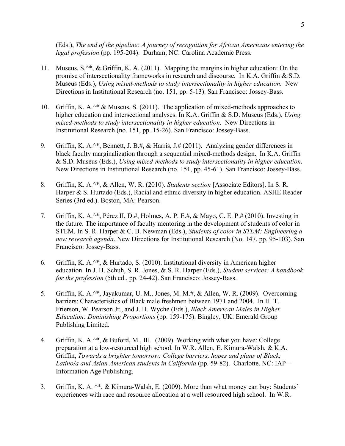(Eds.), *The end of the pipeline: A journey of recognition for African Americans entering the legal profession* (pp. 195-204). Durham, NC: Carolina Academic Press.

- 11. Museus, S.^\*, & Griffin, K. A. (2011). Mapping the margins in higher education: On the promise of intersectionality frameworks in research and discourse. In K.A. Griffin & S.D. Museus (Eds.), *Using mixed-methods to study intersectionality in higher education.* New Directions in Institutional Research (no. 151, pp. 5-13). San Francisco: Jossey-Bass.
- 10. Griffin, K. A.<sup>^\*</sup> & Museus, S. (2011). The application of mixed-methods approaches to higher education and intersectional analyses. In K.A. Griffin & S.D. Museus (Eds.), *Using mixed-methods to study intersectionality in higher education.* New Directions in Institutional Research (no. 151, pp. 15-26). San Francisco: Jossey-Bass.
- 9. Griffin, K. A.<sup> $\wedge$ \*</sup>, Bennett, J. B.#, & Harris, J.# (2011). Analyzing gender differences in black faculty marginalization through a sequential mixed-methods design. In K.A. Griffin & S.D. Museus (Eds.), *Using mixed-methods to study intersectionality in higher education.* New Directions in Institutional Research (no. 151, pp. 45-61). San Francisco: Jossey-Bass.
- 8. Griffin, K. A.^\*, & Allen, W. R. (2010). *Students section* [Associate Editors]. In S. R. Harper & S. Hurtado (Eds.), Racial and ethnic diversity in higher education. ASHE Reader Series (3rd ed.). Boston, MA: Pearson.
- 7. Griffin, K. A.^\*, Pérez II, D.#, Holmes, A. P. E.#, & Mayo, C. E. P.# (2010). Investing in the future: The importance of faculty mentoring in the development of students of color in STEM. In S. R. Harper & C. B. Newman (Eds.), *Students of color in STEM: Engineering a new research agenda*. New Directions for Institutional Research (No. 147, pp. 95-103). San Francisco: Jossey-Bass.
- 6. Griffin, K. A.^\*, & Hurtado, S. (2010). Institutional diversity in American higher education. In J. H. Schuh, S. R. Jones, & S. R. Harper (Eds.), *Student services: A handbook for the profession* (5th ed., pp. 24-42). San Francisco: Jossey-Bass.
- 5. Griffin, K. A.^\*, Jayakumar, U. M., Jones, M. M.#, & Allen, W. R. (2009). Overcoming barriers: Characteristics of Black male freshmen between 1971 and 2004. In H. T. Frierson, W. Pearson Jr., and J. H. Wyche (Eds.), *Black American Males in Higher Education: Diminishing Proportions* (pp. 159-175). Bingley, UK: Emerald Group Publishing Limited.
- 4. Griffin, K. A.^\*, & Buford, M., III. (2009). Working with what you have: College preparation at a low-resourced high school*.* In W.R. Allen, E. Kimura-Walsh, & K.A. Griffin, *Towards a brighter tomorrow: College barriers, hopes and plans of Black, Latino/a and Asian American students in California* (pp. 59-82). Charlotte, NC: IAP – Information Age Publishing.
- 3. Griffin, K. A. ^\*, & Kimura-Walsh, E. (2009). More than what money can buy: Students' experiences with race and resource allocation at a well resourced high school. In W.R.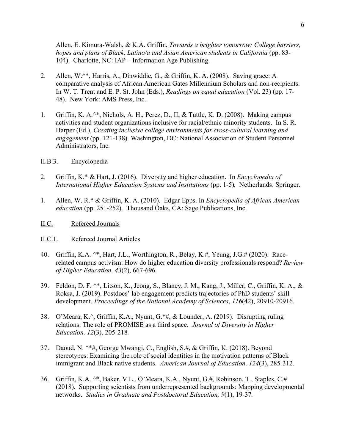Allen, E. Kimura-Walsh, & K.A. Griffin, *Towards a brighter tomorrow: College barriers, hopes and plans of Black, Latino/a and Asian American students in California (pp. 83-*104). Charlotte, NC: IAP – Information Age Publishing.

- 2. Allen, W.^\*, Harris, A., Dinwiddie, G., & Griffin, K. A. (2008). Saving grace: A comparative analysis of African American Gates Millennium Scholars and non-recipients. In W. T. Trent and E. P. St. John (Eds.), *Readings on equal education* (Vol. 23) (pp. 17- 48)*.* New York: AMS Press, Inc.
- 1. Griffin, K. A.^\*, Nichols, A. H., Perez, D., II, & Tuttle, K. D. (2008). Making campus activities and student organizations inclusive for racial/ethnic minority students. In S. R. Harper (Ed.), *Creating inclusive college environments for cross-cultural learning and engagement* (pp. 121-138). Washington, DC: National Association of Student Personnel Administrators, Inc*.*
- II.B.3. Encyclopedia
- 2. Griffin, K.\* & Hart, J. (2016). Diversity and higher education. In *Encyclopedia of International Higher Education Systems and Institutions (pp. 1-5).* Netherlands: Springer.
- 1. Allen, W. R.\* & Griffin, K. A. (2010). Edgar Epps. In *Encyclopedia of African American education* (pp. 251-252). Thousand Oaks, CA: Sage Publications, Inc.

#### II.C. Refereed Journals

- II.C.1. Refereed Journal Articles
- 40. Griffin, K.A. ^\*, Hart, J.L., Worthington, R., Belay, K.#, Yeung, J.G.# (2020). Racerelated campus activism: How do higher education diversity professionals respond? *Review of Higher Education, 43*(2), 667-696*.*
- 39. Feldon, D. F. ^\*, Litson, K., Jeong, S., Blaney, J. M., Kang, J., Miller, C., Griffin, K. A., & Roksa, J. (2019). Postdocs' lab engagement predicts trajectories of PhD students' skill development. *Proceedings of the National Academy of Sciences*, *116*(42), 20910-20916.
- 38. O'Meara, K.^, Griffin, K.A., Nyunt, G.\*#, & Lounder, A. (2019). Disrupting ruling relations: The role of PROMISE as a third space. *Journal of Diversity in Higher Education, 12*(3), 205-218*.*
- 37. Daoud, N. ^\*#, George Mwangi, C., English, S.#, & Griffin, K. (2018). Beyond stereotypes: Examining the role of social identities in the motivation patterns of Black immigrant and Black native students. *American Journal of Education, 124*(3), 285-312.
- 36. Griffin, K.A. ^\*, Baker, V.L., O'Meara, K.A., Nyunt, G.#, Robinson, T., Staples, C.# (2018). Supporting scientists from underrepresented backgrounds: Mapping developmental networks. *Studies in Graduate and Postdoctoral Education, 9*(1), 19-37*.*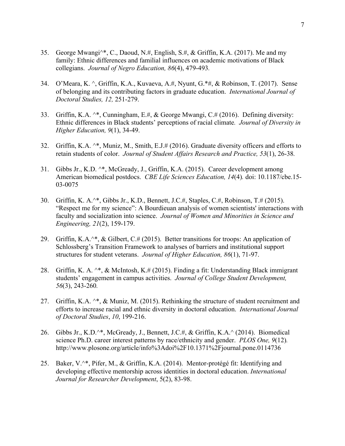- 35. George Mwangi^\*, C., Daoud, N.#, English, S.#, & Griffin, K.A. (2017). Me and my family: Ethnic differences and familial influences on academic motivations of Black collegians. *Journal of Negro Education, 86*(4), 479-493*.*
- 34. O'Meara, K. ^, Griffin, K.A., Kuvaeva, A.#, Nyunt, G.\*#, & Robinson, T. (2017). Sense of belonging and its contributing factors in graduate education. *International Journal of Doctoral Studies, 12,* 251-279.
- 33. Griffin, K.A. ^\*, Cunningham, E.#, & George Mwangi, C.# (2016). Defining diversity: Ethnic differences in Black students' perceptions of racial climate*. Journal of Diversity in Higher Education, 9*(1), 34-49.
- 32. Griffin, K.A. ^\*, Muniz, M., Smith, E.J.# (2016). Graduate diversity officers and efforts to retain students of color. *Journal of Student Affairs Research and Practice, 53*(1), 26-38*.*
- 31. Gibbs Jr., K.D. ^\*, McGready, J., Griffin, K.A. (2015). Career development among American biomedical postdocs. *CBE Life Sciences Education, 14*(4)*.* doi: 10.1187/cbe.15- 03-0075
- 30. Griffin, K. A.^\*, Gibbs Jr., K.D., Bennett, J.C.#, Staples, C.#, Robinson, T.# (2015). "Respect me for my science": A Bourdieuan analysis of women scientists' interactions with faculty and socialization into science. *Journal of Women and Minorities in Science and Engineering, 21*(2), 159-179.
- 29. Griffin, K.A. $\wedge^*$ , & Gilbert, C.# (2015). Better transitions for troops: An application of Schlossberg's Transition Framework to analyses of barriers and institutional support structures for student veterans. *Journal of Higher Education, 86*(1), 71-97.
- 28. Griffin, K. A. ^\*, & McIntosh, K.# (2015). Finding a fit: Understanding Black immigrant students' engagement in campus activities. *Journal of College Student Development, 56*(3), 243-260*.*
- 27. Griffin, K.A. ^\*, & Muniz, M. (2015). Rethinking the structure of student recruitment and efforts to increase racial and ethnic diversity in doctoral education. *International Journal of Doctoral Studies*, *10*, 199-216.
- 26. Gibbs Jr., K.D.^\*, McGready, J., Bennett, J.C.#, & Griffin, K.A.^ (2014). Biomedical science Ph.D. career interest patterns by race/ethnicity and gender. *PLOS One, 9*(12)*.*  http://www.plosone.org/article/info%3Adoi%2F10.1371%2Fjournal.pone.0114736
- 25. Baker, V.^\*, Pifer, M., & Griffin, K.A. (2014). Mentor-protégé fit: Identifying and developing effective mentorship across identities in doctoral education. *International Journal for Researcher Development*, 5(2), 83-98.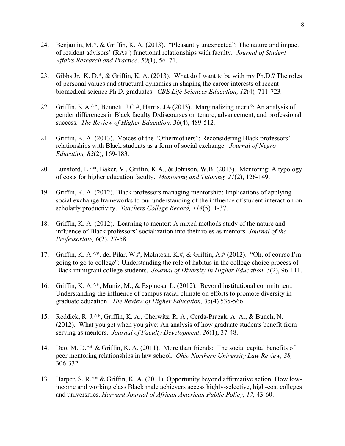- 24. Benjamin, M.\*, & Griffin, K. A. (2013). "Pleasantly unexpected": The nature and impact of resident advisors' (RAs') functional relationships with faculty. *Journal of Student Affairs Research and Practice, 50*(1), 56–71.
- 23. Gibbs Jr., K. D.\*, & Griffin, K. A. (2013). What do I want to be with my Ph.D.? The roles of personal values and structural dynamics in shaping the career interests of recent biomedical science Ph.D. graduates. *CBE Life Sciences Education, 12*(4)*,* 711-723*.*
- 22. Griffin, K.A.^\*, Bennett, J.C.#, Harris, J.# (2013). Marginalizing merit?: An analysis of gender differences in Black faculty D/discourses on tenure, advancement, and professional success. *The Review of Higher Education, 36*(4), 489-512*.*
- 21. Griffin, K. A. (2013). Voices of the "Othermothers": Reconsidering Black professors' relationships with Black students as a form of social exchange. *Journal of Negro Education, 82*(2), 169-183.
- 20. Lunsford, L.^\*, Baker, V., Griffin, K.A., & Johnson, W.B. (2013). Mentoring: A typology of costs for higher education faculty. *Mentoring and Tutoring, 21*(2), 126-149.
- 19. Griffin, K. A. (2012). Black professors managing mentorship: Implications of applying social exchange frameworks to our understanding of the influence of student interaction on scholarly productivity. *Teachers College Record, 114*(5)*,* 1-37.
- 18. Griffin, K. A. (2012). Learning to mentor: A mixed methods study of the nature and influence of Black professors' socialization into their roles as mentors. *Journal of the Professoriate, 6*(2), 27-58.
- 17. Griffin, K. A.^\*, del Pilar, W.#, McIntosh, K.#, & Griffin, A.# (2012). "Oh, of course I'm going to go to college": Understanding the role of habitus in the college choice process of Black immigrant college students. *Journal of Diversity in Higher Education, 5*(2), 96-111.
- 16. Griffin, K. A.^\*, Muniz, M., & Espinosa, L. (2012). Beyond institutional commitment: Understanding the influence of campus racial climate on efforts to promote diversity in graduate education. *The Review of Higher Education, 35*(4) 535-566.
- 15. Reddick, R. J.^\*, Griffin, K. A., Cherwitz, R. A., Cerda-Prazak, A. A., & Bunch, N. (2012). What you get when you give: An analysis of how graduate students benefit from serving as mentors. *Journal of Faculty Development*, *26*(1), 37-48.
- 14. Deo, M. D.<sup>^\*</sup> & Griffin, K. A. (2011). More than friends: The social capital benefits of peer mentoring relationships in law school. *Ohio Northern University Law Review, 38,*  306-332.
- 13. Harper, S. R.^\* & Griffin, K. A. (2011). Opportunity beyond affirmative action: How lowincome and working class Black male achievers access highly-selective, high-cost colleges and universities. *Harvard Journal of African American Public Policy, 17, 43-60*.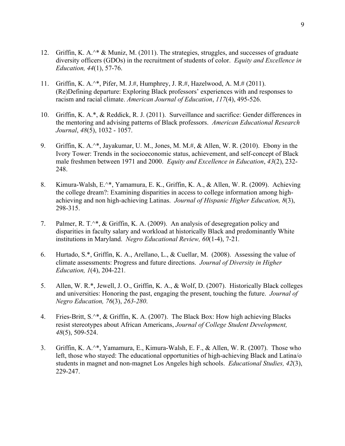- 12. Griffin, K. A.<sup>^\*</sup> & Muniz, M. (2011). The strategies, struggles, and successes of graduate diversity officers (GDOs) in the recruitment of students of color. *Equity and Excellence in Education, 44*(1), 57-76.
- 11. Griffin, K. A.^\*, Pifer, M. J.#, Humphrey, J. R.#, Hazelwood, A. M.# (2011). (Re)Defining departure: Exploring Black professors' experiences with and responses to racism and racial climate. *American Journal of Education*, *117*(4), 495-526.
- 10. Griffin, K. A.\*, & Reddick, R. J. (2011). Surveillance and sacrifice: Gender differences in the mentoring and advising patterns of Black professors. *American Educational Research Journal*, *48*(5), 1032 - 1057.
- 9. Griffin, K. A.^\*, Jayakumar, U. M., Jones, M. M.#, & Allen, W. R. (2010). Ebony in the Ivory Tower: Trends in the socioeconomic status, achievement, and self-concept of Black male freshmen between 1971 and 2000. *Equity and Excellence in Education*, *43*(2), 232- 248.
- 8. Kimura-Walsh, E.^\*, Yamamura, E. K., Griffin, K. A., & Allen, W. R. (2009). Achieving the college dream?: Examining disparities in access to college information among highachieving and non high-achieving Latinas. *Journal of Hispanic Higher Education, 8*(3), 298-315.
- 7. Palmer, R. T.^\*, & Griffin, K. A. (2009). An analysis of desegregation policy and disparities in faculty salary and workload at historically Black and predominantly White institutions in Maryland. *Negro Educational Review, 60*(1-4), 7-21*.*
- 6. Hurtado, S.\*, Griffin, K. A., Arellano, L., & Cuellar, M. (2008). Assessing the value of climate assessments: Progress and future directions. *Journal of Diversity in Higher Education, 1*(4), 204-221*.*
- 5. Allen, W. R.\*, Jewell, J. O., Griffin, K. A., & Wolf, D. (2007). Historically Black colleges and universities: Honoring the past, engaging the present, touching the future. *Journal of Negro Education, 76*(3), *263-280*.
- 4. Fries-Britt, S.^\*, & Griffin, K. A. (2007). The Black Box: How high achieving Blacks resist stereotypes about African Americans, *Journal of College Student Development, 48*(5), 509-524.
- 3. Griffin, K. A.^\*, Yamamura, E., Kimura-Walsh, E. F., & Allen, W. R. (2007). Those who left, those who stayed: The educational opportunities of high-achieving Black and Latina/o students in magnet and non-magnet Los Angeles high schools. *Educational Studies, 42*(3), 229-247.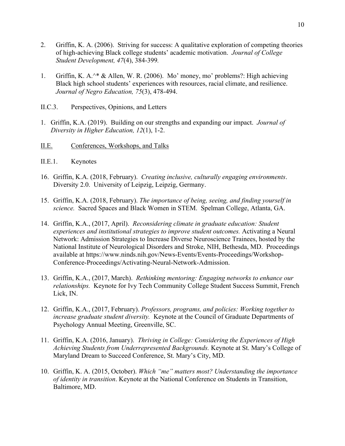- 2. Griffin, K. A. (2006). Striving for success: A qualitative exploration of competing theories of high-achieving Black college students' academic motivation. *Journal of College Student Development, 47*(4), 384-399*.*
- 1. Griffin, K. A.^\* & Allen, W. R. (2006). Mo' money, mo' problems?: High achieving Black high school students' experiences with resources, racial climate, and resilience. *Journal of Negro Education, 75*(3), 478-494.
- II.C.3. Perspectives, Opinions, and Letters
- 1. Griffin, K.A. (2019). Building on our strengths and expanding our impact. *Journal of Diversity in Higher Education, 12*(1), 1-2.
- II.E. Conferences, Workshops, and Talks
- II.E.1. Keynotes
- 16. Griffin, K.A. (2018, February). *Creating inclusive, culturally engaging environments*. Diversity 2.0. University of Leipzig, Leipzig, Germany.
- 15. Griffin, K.A. (2018, February). *The importance of being, seeing, and finding yourself in science.* Sacred Spaces and Black Women in STEM. Spelman College, Atlanta, GA.
- 14. Griffin, K.A., (2017, April). *Reconsidering climate in graduate education: Student experiences and institutional strategies to improve student outcomes.* Activating a Neural Network: Admission Strategies to Increase Diverse Neuroscience Trainees, hosted by the National Institute of Neurological Disorders and Stroke, NIH, Bethesda, MD. Proceedings available at https://www.ninds.nih.gov/News-Events/Events-Proceedings/Workshop-Conference-Proceedings/Activating-Neural-Network-Admission.
- 13. Griffin, K.A., (2017, March). *Rethinking mentoring: Engaging networks to enhance our relationships.* Keynote for Ivy Tech Community College Student Success Summit, French Lick, IN.
- 12. Griffin, K.A., (2017, February). *Professors, programs, and policies: Working together to increase graduate student diversity.* Keynote at the Council of Graduate Departments of Psychology Annual Meeting, Greenville, SC.
- 11. Griffin, K.A. (2016, January). *Thriving in College: Considering the Experiences of High Achieving Students from Underrepresented Backgrounds.* Keynote at St. Mary's College of Maryland Dream to Succeed Conference, St. Mary's City, MD.
- 10. Griffin, K. A. (2015, October). *Which "me" matters most? Understanding the importance of identity in transition*. Keynote at the National Conference on Students in Transition, Baltimore, MD.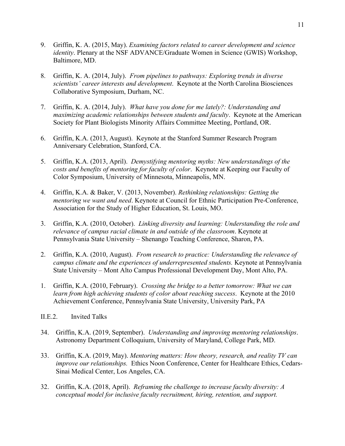- 9. Griffin, K. A. (2015, May). *Examining factors related to career development and science identity*. Plenary at the NSF ADVANCE/Graduate Women in Science (GWIS) Workshop, Baltimore, MD.
- 8. Griffin, K. A. (2014, July). *From pipelines to pathways: Exploring trends in diverse scientists' career interests and development*. Keynote at the North Carolina Biosciences Collaborative Symposium, Durham, NC.
- 7. Griffin, K. A. (2014, July). *What have you done for me lately?: Understanding and maximizing academic relationships between students and faculty*. Keynote at the American Society for Plant Biologists Minority Affairs Committee Meeting, Portland, OR.
- 6. Griffin, K.A. (2013, August). Keynote at the Stanford Summer Research Program Anniversary Celebration, Stanford, CA.
- 5. Griffin, K.A. (2013, April). *Demystifying mentoring myths: New understandings of the costs and benefits of mentoring for faculty of color*. Keynote at Keeping our Faculty of Color Symposium, University of Minnesota, Minneapolis, MN.
- 4. Griffin, K.A. & Baker, V. (2013, November). *Rethinking relationships: Getting the mentoring we want and need*. Keynote at Council for Ethnic Participation Pre-Conference, Association for the Study of Higher Education, St. Louis, MO.
- 3. Griffin, K.A. (2010, October). *Linking diversity and learning: Understanding the role and relevance of campus racial climate in and outside of the classroom*. Keynote at Pennsylvania State University – Shenango Teaching Conference, Sharon, PA.
- 2. Griffin, K.A. (2010, August). *From research to practice: Understanding the relevance of campus climate and the experiences of underrepresented students.* Keynote at Pennsylvania State University – Mont Alto Campus Professional Development Day, Mont Alto, PA.
- 1. Griffin, K.A. (2010, February). *Crossing the bridge to a better tomorrow: What we can learn from high achieving students of color about reaching success*. Keynote at the 2010 Achievement Conference, Pennsylvania State University, University Park, PA
- II.E.2. Invited Talks
- 34. Griffin, K.A. (2019, September). *Understanding and improving mentoring relationships*. Astronomy Department Colloquium, University of Maryland, College Park, MD.
- 33. Griffin, K.A. (2019, May). *Mentoring matters: How theory, research, and reality TV can improve our relationships.* Ethics Noon Conference, Center for Healthcare Ethics, Cedars-Sinai Medical Center, Los Angeles, CA.
- 32. Griffin, K.A. (2018, April). *Reframing the challenge to increase faculty diversity: A conceptual model for inclusive faculty recruitment, hiring, retention, and support.*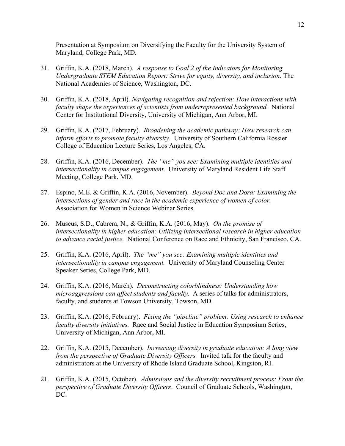Presentation at Symposium on Diversifying the Faculty for the University System of Maryland, College Park, MD.

- 31. Griffin, K.A. (2018, March). *A response to Goal 2 of the Indicators for Monitoring Undergraduate STEM Education Report: Strive for equity, diversity, and inclusion*. The National Academies of Science, Washington, DC.
- 30. Griffin, K.A. (2018, April). *Navigating recognition and rejection: How interactions with faculty shape the experiences of scientists from underrepresented background.* National Center for Institutional Diversity, University of Michigan, Ann Arbor, MI.
- 29. Griffin, K.A. (2017, February). *Broadening the academic pathway: How research can inform efforts to promote faculty diversity.* University of Southern California Rossier College of Education Lecture Series, Los Angeles, CA.
- 28. Griffin, K.A. (2016, December). *The "me" you see: Examining multiple identities and intersectionality in campus engagement*. University of Maryland Resident Life Staff Meeting, College Park, MD.
- 27. Espino, M.E. & Griffin, K.A. (2016, November). *Beyond Doc and Dora: Examining the intersections of gender and race in the academic experience of women of color.*  Association for Women in Science Webinar Series.
- 26. Museus, S.D., Cabrera, N., & Griffin, K.A. (2016, May). *On the promise of intersectionality in higher education: Utilizing intersectional research in higher education to advance racial justice.* National Conference on Race and Ethnicity, San Francisco, CA.
- 25. Griffin, K.A. (2016, April). *The "me" you see: Examining multiple identities and intersectionality in campus engagement.* University of Maryland Counseling Center Speaker Series, College Park, MD.
- 24. Griffin, K.A. (2016, March). *Deconstructing colorblindness: Understanding how microaggressions can affect students and faculty.* A series of talks for administrators, faculty, and students at Towson University, Towson, MD.
- 23. Griffin, K.A. (2016, February). *Fixing the "pipeline" problem: Using research to enhance faculty diversity initiatives.* Race and Social Justice in Education Symposium Series, University of Michigan, Ann Arbor, MI.
- 22. Griffin, K.A. (2015, December). *Increasing diversity in graduate education: A long view from the perspective of Graduate Diversity Officers.* Invited talk for the faculty and administrators at the University of Rhode Island Graduate School, Kingston, RI.
- 21. Griffin, K.A. (2015, October). *Admissions and the diversity recruitment process: From the perspective of Graduate Diversity Officers*. Council of Graduate Schools, Washington, DC.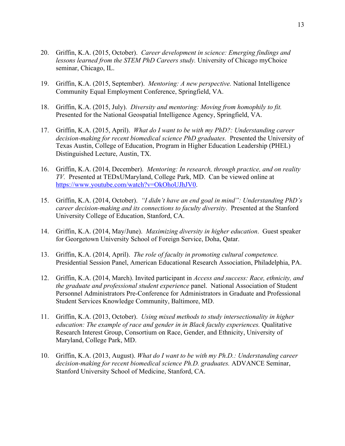- 20. Griffin, K.A. (2015, October). *Career development in science: Emerging findings and lessons learned from the STEM PhD Careers study.* University of Chicago myChoice seminar, Chicago, IL.
- 19. Griffin, K.A. (2015, September). *Mentoring: A new perspective.* National Intelligence Community Equal Employment Conference, Springfield, VA.
- 18. Griffin, K.A. (2015, July). *Diversity and mentoring: Moving from homophily to fit.*  Presented for the National Geospatial Intelligence Agency, Springfield, VA.
- 17. Griffin, K.A. (2015, April). *What do I want to be with my PhD?: Understanding career decision-making for recent biomedical science PhD graduates.* Presented the University of Texas Austin, College of Education, Program in Higher Education Leadership (PHEL) Distinguished Lecture, Austin, TX.
- 16. Griffin, K.A. (2014, December). *Mentoring: In research, through practice, and on reality TV.* Presented at TEDxUMaryland, College Park, MD. Can be viewed online at https://www.youtube.com/watch?v=OkOhoUJhJV0.
- 15. Griffin, K.A. (2014, October). *"I didn't have an end goal in mind": Understanding PhD's career decision-making and its connections to faculty diversity*. Presented at the Stanford University College of Education, Stanford, CA.
- 14. Griffin, K.A. (2014, May/June). *Maximizing diversity in higher education*. Guest speaker for Georgetown University School of Foreign Service, Doha, Qatar.
- 13. Griffin, K.A. (2014, April). *The role of faculty in promoting cultural competence.*  Presidential Session Panel, American Educational Research Association, Philadelphia, PA.
- 12. Griffin, K.A. (2014, March). Invited participant in *Access and success: Race, ethnicity, and the graduate and professional student experience* panel. National Association of Student Personnel Administrators Pre-Conference for Administrators in Graduate and Professional Student Services Knowledge Community, Baltimore, MD.
- 11. Griffin, K.A. (2013, October). *Using mixed methods to study intersectionality in higher education: The example of race and gender in in Black faculty experiences.* Qualitative Research Interest Group, Consortium on Race, Gender, and Ethnicity, University of Maryland, College Park, MD.
- 10. Griffin, K.A. (2013, August). *What do I want to be with my Ph.D.: Understanding career decision-making for recent biomedical science Ph.D. graduates.* ADVANCE Seminar, Stanford University School of Medicine, Stanford, CA.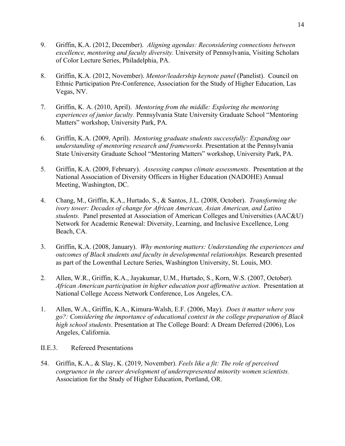- 9. Griffin, K.A. (2012, December). *Aligning agendas: Reconsidering connections between excellence, mentoring and faculty diversity.* University of Pennsylvania, Visiting Scholars of Color Lecture Series, Philadelphia, PA.
- 8. Griffin, K.A. (2012, November). *Mentor/leadership keynote panel* (Panelist). Council on Ethnic Participation Pre-Conference, Association for the Study of Higher Education, Las Vegas, NV.
- 7. Griffin, K. A. (2010, April). *Mentoring from the middle: Exploring the mentoring experiences of junior faculty.* Pennsylvania State University Graduate School "Mentoring Matters" workshop, University Park, PA.
- 6. Griffin, K.A. (2009, April). *Mentoring graduate students successfully: Expanding our understanding of mentoring research and frameworks.* Presentation at the Pennsylvania State University Graduate School "Mentoring Matters" workshop, University Park, PA.
- 5. Griffin, K.A. (2009, February). *Assessing campus climate assessments*. Presentation at the National Association of Diversity Officers in Higher Education (NADOHE) Annual Meeting, Washington, DC.
- 4. Chang, M., Griffin, K.A., Hurtado, S., & Santos, J.L. (2008, October). *Transforming the ivory tower: Decades of change for African American, Asian American, and Latino students.* Panel presented at Association of American Colleges and Universities (AAC&U) Network for Academic Renewal: Diversity, Learning, and Inclusive Excellence, Long Beach, CA.
- 3. Griffin, K.A. (2008, January). *Why mentoring matters: Understanding the experiences and outcomes of Black students and faculty in developmental relationships.* Research presented as part of the Lowenthal Lecture Series, Washington University, St. Louis, MO.
- 2. Allen, W.R., Griffin, K.A., Jayakumar, U.M., Hurtado, S., Korn, W.S. (2007, October). *African American participation in higher education post affirmative action*. Presentation at National College Access Network Conference, Los Angeles, CA.
- 1. Allen, W.A., Griffin, K.A., Kimura-Walsh, E.F. (2006, May). *Does it matter where you go?: Considering the importance of educational context in the college preparation of Black high school students*. Presentation at The College Board: A Dream Deferred (2006), Los Angeles, California.
- II.E.3. Refereed Presentations
- 54. Griffin, K.A., & Slay, K. (2019, November). *Feels like a fit: The role of perceived congruence in the career development of underrepresented minority women scientists.*  Association for the Study of Higher Education, Portland, OR.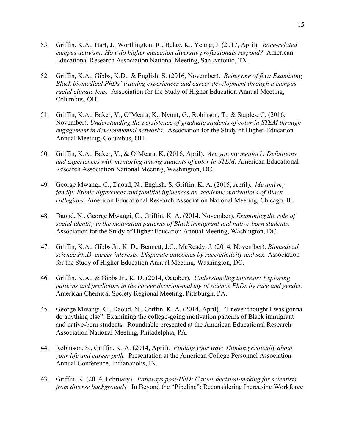- 53. Griffin, K.A., Hart, J., Worthington, R., Belay, K., Yeung, J. (2017, April). *Race-related campus activism: How do higher education diversity professionals respond?* American Educational Research Association National Meeting, San Antonio, TX.
- 52. Griffin, K.A., Gibbs, K.D., & English, S. (2016, November). *Being one of few: Examining Black biomedical PhDs' training experiences and career development through a campus racial climate lens.* Association for the Study of Higher Education Annual Meeting, Columbus, OH.
- 51. Griffin, K.A., Baker, V., O'Meara, K., Nyunt, G., Robinson, T., & Staples, C. (2016, November). *Understanding the persistence of graduate students of color in STEM through engagement in developmental networks*. Association for the Study of Higher Education Annual Meeting, Columbus, OH.
- 50. Griffin, K.A., Baker, V., & O'Meara, K. (2016, April). *Are you my mentor?: Definitions and experiences with mentoring among students of color in STEM.* American Educational Research Association National Meeting, Washington, DC.
- 49. George Mwangi, C., Daoud, N., English, S. Griffin, K. A. (2015, April). *Me and my family: Ethnic differences and familial influences on academic motivations of Black collegians.* American Educational Research Association National Meeting, Chicago, IL.
- 48. Daoud, N., George Mwangi, C., Griffin, K. A. (2014, November). *Examining the role of social identity in the motivation patterns of Black immigrant and native-born students*. Association for the Study of Higher Education Annual Meeting, Washington, DC.
- 47. Griffin, K.A., Gibbs Jr., K. D., Bennett, J.C., McReady, J. (2014, November). *Biomedical science Ph.D. career interests: Disparate outcomes by race/ethnicity and sex.* Association for the Study of Higher Education Annual Meeting, Washington, DC.
- 46. Griffin, K.A., & Gibbs Jr., K. D. (2014, October). *Understanding interests: Exploring patterns and predictors in the career decision-making of science PhDs by race and gender.* American Chemical Society Regional Meeting, Pittsburgh, PA.
- 45. George Mwangi, C., Daoud, N., Griffin, K. A. (2014, April). "I never thought I was gonna do anything else": Examining the college-going motivation patterns of Black immigrant and native-born students. Roundtable presented at the American Educational Research Association National Meeting, Philadelphia, PA.
- 44. Robinson, S., Griffin, K. A. (2014, April). *Finding your way: Thinking critically about your life and career path.* Presentation at the American College Personnel Association Annual Conference, Indianapolis, IN.
- 43. Griffin, K. (2014, February). *Pathways post-PhD: Career decision-making for scientists from diverse backgrounds.* In Beyond the "Pipeline": Reconsidering Increasing Workforce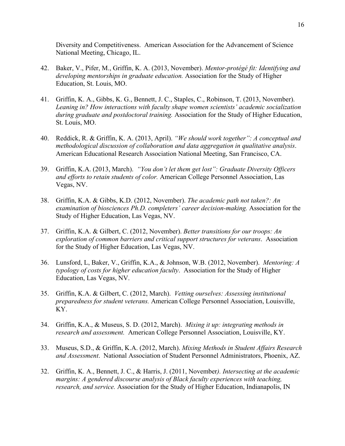Diversity and Competitiveness. American Association for the Advancement of Science National Meeting, Chicago, IL.

- 42. Baker, V., Pifer, M., Griffin, K. A. (2013, November). *Mentor-protégé fit: Identifying and developing mentorships in graduate education.* Association for the Study of Higher Education, St. Louis, MO.
- 41. Griffin, K. A., Gibbs, K. G., Bennett, J. C., Staples, C., Robinson, T. (2013, November). *Leaning in? How interactions with faculty shape women scientists' academic socialization during graduate and postdoctoral training.* Association for the Study of Higher Education, St. Louis, MO.
- 40. Reddick, R. & Griffin, K. A. (2013, April). *"We should work together": A conceptual and methodological discussion of collaboration and data aggregation in qualitative analysis*. American Educational Research Association National Meeting, San Francisco, CA.
- 39. Griffin, K.A. (2013, March). *"You don't let them get lost": Graduate Diversity Officers and efforts to retain students of color.* American College Personnel Association, Las Vegas, NV.
- 38. Griffin, K.A. & Gibbs, K.D. (2012, November). *The academic path not taken?: An examination of biosciences Ph.D. completers' career decision-making.* Association for the Study of Higher Education, Las Vegas, NV.
- 37. Griffin, K.A. & Gilbert, C. (2012, November). *Better transitions for our troops: An exploration of common barriers and critical support structures for veterans*. Association for the Study of Higher Education, Las Vegas, NV.
- 36. Lunsford, L, Baker, V., Griffin, K.A., & Johnson, W.B. (2012, November). *Mentoring: A typology of costs for higher education faculty*. Association for the Study of Higher Education, Las Vegas, NV.
- 35. Griffin, K.A. & Gilbert, C. (2012, March). *Vetting ourselves: Assessing institutional preparedness for student veterans.* American College Personnel Association, Louisville, KY.
- 34. Griffin, K.A., & Museus, S. D. (2012, March). *Mixing it up: integrating methods in research and assessment.* American College Personnel Association, Louisville, KY.
- 33. Museus, S.D., & Griffin, K.A. (2012, March). *Mixing Methods in Student Affairs Research and Assessment*. National Association of Student Personnel Administrators, Phoenix, AZ.
- 32. Griffin, K. A., Bennett, J. C., & Harris, J. (2011, November*). Intersecting at the academic margins: A gendered discourse analysis of Black faculty experiences with teaching, research, and service.* Association for the Study of Higher Education, Indianapolis, IN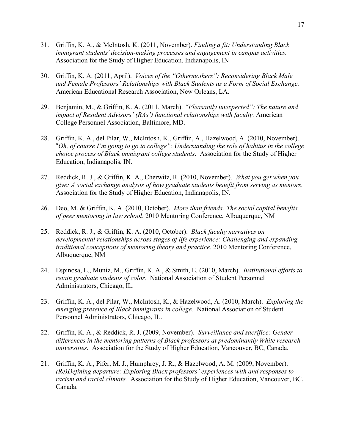- 31. Griffin, K. A., & McIntosh, K. (2011, November). *Finding a fit: Understanding Black immigrant students' decision-making processes and engagement in campus activities.* Association for the Study of Higher Education, Indianapolis, IN
- 30. Griffin, K. A. (2011, April). *Voices of the "Othermothers": Reconsidering Black Male and Female Professors' Relationships with Black Students as a Form of Social Exchange.*  American Educational Research Association, New Orleans, LA.
- 29. Benjamin, M., & Griffin, K. A. (2011, March). *"Pleasantly unexpected": The nature and impact of Resident Advisors' (RAs') functional relationships with faculty.* American College Personnel Association, Baltimore, MD.
- 28. Griffin, K. A., del Pilar, W., McIntosh, K., Griffin, A., Hazelwood, A. (2010, November). "*Oh, of course I'm going to go to college": Understanding the role of habitus in the college choice process of Black immigrant college students*. Association for the Study of Higher Education, Indianapolis, IN.
- 27. Reddick, R. J., & Griffin, K. A., Cherwitz, R. (2010, November). *What you get when you give: A social exchange analysis of how graduate students benefit from serving as mentors.*  Association for the Study of Higher Education, Indianapolis, IN.
- 26. Deo, M. & Griffin, K. A. (2010, October). *More than friends: The social capital benefits of peer mentoring in law school*. 2010 Mentoring Conference, Albuquerque, NM
- 25. Reddick, R. J., & Griffin, K. A. (2010, October). *Black faculty narratives on developmental relationships across stages of life experience: Challenging and expanding traditional conceptions of mentoring theory and practice.* 2010 Mentoring Conference, Albuquerque, NM
- 24. Espinosa, L., Muniz, M., Griffin, K. A., & Smith, E. (2010, March). *Institutional efforts to retain graduate students of color.* National Association of Student Personnel Administrators, Chicago, IL.
- 23. Griffin, K. A., del Pilar, W., McIntosh, K., & Hazelwood, A. (2010, March). *Exploring the emerging presence of Black immigrants in college.* National Association of Student Personnel Administrators, Chicago, IL.
- 22. Griffin, K. A., & Reddick, R. J. (2009, November). *Surveillance and sacrifice: Gender differences in the mentoring patterns of Black professors at predominantly White research universities.* Association for the Study of Higher Education, Vancouver, BC, Canada.
- 21. Griffin, K. A., Pifer, M. J., Humphrey, J. R., & Hazelwood, A. M. (2009, November). *(Re)Defining departure: Exploring Black professors' experiences with and responses to racism and racial climate.* Association for the Study of Higher Education, Vancouver, BC, Canada.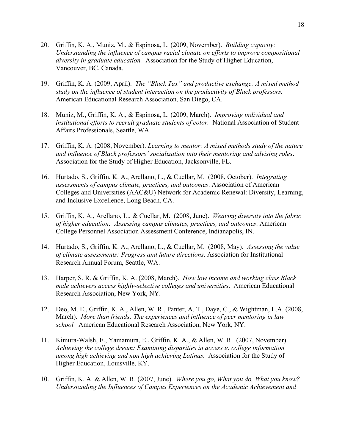- 20. Griffin, K. A., Muniz, M., & Espinosa, L. (2009, November). *Building capacity: Understanding the influence of campus racial climate on efforts to improve compositional diversity in graduate education.* Association for the Study of Higher Education, Vancouver, BC, Canada.
- 19. Griffin, K. A. (2009, April). *The "Black Tax" and productive exchange: A mixed method study on the influence of student interaction on the productivity of Black professors.*  American Educational Research Association, San Diego, CA.
- 18. Muniz, M., Griffin, K. A., & Espinosa, L. (2009, March). *Improving individual and institutional efforts to recruit graduate students of color.* National Association of Student Affairs Professionals, Seattle, WA.
- 17. Griffin, K. A. (2008, November). *Learning to mentor: A mixed methods study of the nature and influence of Black professors' socialization into their mentoring and advising roles*. Association for the Study of Higher Education, Jacksonville, FL.
- 16. Hurtado, S., Griffin, K. A., Arellano, L., & Cuellar, M. (2008, October). *Integrating assessments of campus climate, practices, and outcomes*. Association of American Colleges and Universities (AAC&U) Network for Academic Renewal: Diversity, Learning, and Inclusive Excellence, Long Beach, CA.
- 15. Griffin, K. A., Arellano, L., & Cuellar, M. (2008, June). *Weaving diversity into the fabric of higher education: Assessing campus climates, practices, and outcomes*. American College Personnel Association Assessment Conference, Indianapolis, IN.
- 14. Hurtado, S., Griffin, K. A., Arellano, L., & Cuellar, M. (2008, May). *Assessing the value of climate assessments: Progress and future directions*. Association for Institutional Research Annual Forum, Seattle, WA.
- 13. Harper, S. R. & Griffin, K. A. (2008, March). *How low income and working class Black male achievers access highly-selective colleges and universities*. American Educational Research Association, New York, NY.
- 12. Deo, M. E., Griffin, K. A., Allen, W. R., Panter, A. T., Daye, C., & Wightman, L.A. (2008, March). *More than friends: The experiences and influence of peer mentoring in law school.* American Educational Research Association, New York, NY.
- 11. Kimura-Walsh, E., Yamamura, E., Griffin, K. A., & Allen, W. R. (2007, November). *Achieving the college dream: Examining disparities in access to college information among high achieving and non high achieving Latinas.* Association for the Study of Higher Education, Louisville, KY.
- 10. Griffin, K. A. & Allen, W. R. (2007, June). *Where you go, What you do, What you know? Understanding the Influences of Campus Experiences on the Academic Achievement and*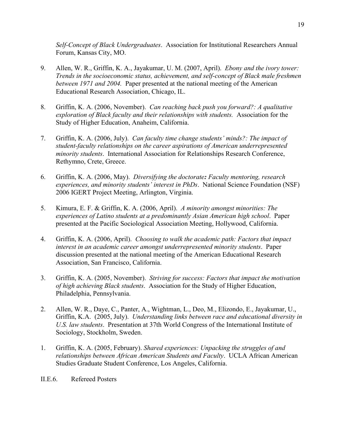*Self-Concept of Black Undergraduates*. Association for Institutional Researchers Annual Forum, Kansas City, MO.

- 9. Allen, W. R., Griffin, K. A., Jayakumar, U. M. (2007, April). *Ebony and the ivory tower: Trends in the socioeconomic status, achievement, and self-concept of Black male freshmen between 1971 and 2004.* Paper presented at the national meeting of the American Educational Research Association, Chicago, IL.
- 8. Griffin, K. A. (2006, November). *Can reaching back push you forward?: A qualitative exploration of Black faculty and their relationships with students.* Association for the Study of Higher Education, Anaheim, California.
- 7. Griffin, K. A. (2006, July). *Can faculty time change students' minds?: The impact of student-faculty relationships on the career aspirations of American underrepresented minority students*. International Association for Relationships Research Conference, Rethymno, Crete, Greece.
- 6. Griffin, K. A. (2006, May). *Diversifying the doctorate: Faculty mentoring, research experiences, and minority students' interest in PhDs*. National Science Foundation (NSF) 2006 IGERT Project Meeting, Arlington, Virginia.
- 5. Kimura, E. F. & Griffin, K. A. (2006, April). *A minority amongst minorities: The experiences of Latino students at a predominantly Asian American high school*. Paper presented at the Pacific Sociological Association Meeting, Hollywood, California.
- 4. Griffin, K. A. (2006, April). *Choosing to walk the academic path: Factors that impact interest in an academic career amongst underrepresented minority students*. Paper discussion presented at the national meeting of the American Educational Research Association, San Francisco, California.
- 3. Griffin, K. A. (2005, November). *Striving for success: Factors that impact the motivation of high achieving Black students*. Association for the Study of Higher Education, Philadelphia, Pennsylvania.
- 2. Allen, W. R., Daye, C., Panter, A., Wightman, L., Deo, M., Elizondo, E., Jayakumar, U., Griffin, K.A. (2005, July). *Understanding links between race and educational diversity in U.S. law students*. Presentation at 37th World Congress of the International Institute of Sociology, Stockholm, Sweden.
- 1. Griffin, K. A. (2005, February). *Shared experiences: Unpacking the struggles of and relationships between African American Students and Faculty*. UCLA African American Studies Graduate Student Conference, Los Angeles, California.

II.E.6. Refereed Posters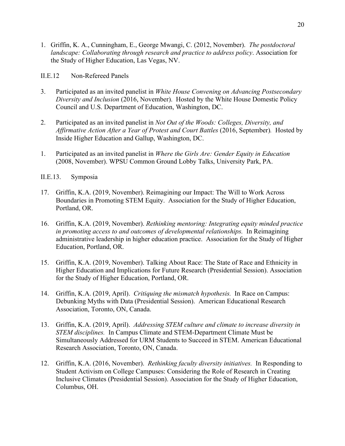1. Griffin, K. A., Cunningham, E., George Mwangi, C. (2012, November). *The postdoctoral landscape: Collaborating through research and practice to address policy*. Association for the Study of Higher Education, Las Vegas, NV.

II.E.12 Non-Refereed Panels

- 3. Participated as an invited panelist in *White House Convening on Advancing Postsecondary Diversity and Inclusion* (2016, November). Hosted by the White House Domestic Policy Council and U.S. Department of Education, Washington, DC.
- 2. Participated as an invited panelist in *Not Out of the Woods: Colleges, Diversity, and Affirmative Action After a Year of Protest and Court Battles* (2016, September)*.* Hosted by Inside Higher Education and Gallup, Washington, DC.
- 1. Participated as an invited panelist in *Where the Girls Are: Gender Equity in Education*  (2008, November). WPSU Common Ground Lobby Talks, University Park, PA.
- II.E.13. Symposia
- 17. Griffin, K.A. (2019, November). Reimagining our Impact: The Will to Work Across Boundaries in Promoting STEM Equity. Association for the Study of Higher Education, Portland, OR.
- 16. Griffin, K.A. (2019, November). *Rethinking mentoring: Integrating equity minded practice in promoting access to and outcomes of developmental relationships.* In Reimagining administrative leadership in higher education practice. Association for the Study of Higher Education, Portland, OR.
- 15. Griffin, K.A. (2019, November). Talking About Race: The State of Race and Ethnicity in Higher Education and Implications for Future Research (Presidential Session). Association for the Study of Higher Education, Portland, OR.
- 14. Griffin, K.A. (2019, April). *Critiquing the mismatch hypothesis.* In Race on Campus: Debunking Myths with Data (Presidential Session). American Educational Research Association, Toronto, ON, Canada.
- 13. Griffin, K.A. (2019, April). *Addressing STEM culture and climate to increase diversity in STEM disciplines.* In Campus Climate and STEM-Department Climate Must be Simultaneously Addressed for URM Students to Succeed in STEM. American Educational Research Association, Toronto, ON, Canada.
- 12. Griffin, K.A. (2016, November). *Rethinking faculty diversity initiatives.* In Responding to Student Activism on College Campuses: Considering the Role of Research in Creating Inclusive Climates (Presidential Session). Association for the Study of Higher Education, Columbus, OH.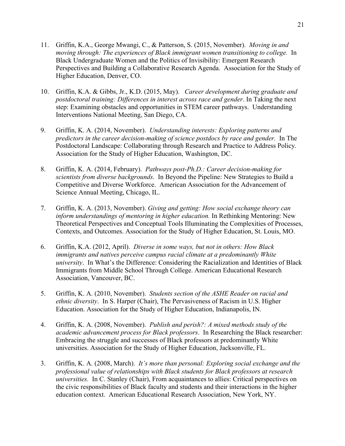- 11. Griffin, K.A., George Mwangi, C., & Patterson, S. (2015, November). *Moving in and moving through: The experiences of Black immigrant women transitioning to college.* In Black Undergraduate Women and the Politics of Invisibility: Emergent Research Perspectives and Building a Collaborative Research Agenda. Association for the Study of Higher Education, Denver, CO.
- 10. Griffin, K.A. & Gibbs, Jr., K.D. (2015, May). *Career development during graduate and postdoctoral training: Differences in interest across race and gender*. In Taking the next step: Examining obstacles and opportunities in STEM career pathways. Understanding Interventions National Meeting, San Diego, CA.
- 9. Griffin, K. A. (2014, November). *Understanding interests: Exploring patterns and predictors in the career decision-making of science postdocs by race and gender.* In The Postdoctoral Landscape: Collaborating through Research and Practice to Address Policy. Association for the Study of Higher Education, Washington, DC.
- 8. Griffin, K. A. (2014, February). *Pathways post-Ph.D.: Career decision-making for scientists from diverse backgrounds*. In Beyond the Pipeline: New Strategies to Build a Competitive and Diverse Workforce. American Association for the Advancement of Science Annual Meeting, Chicago, IL.
- 7. Griffin, K. A. (2013, November). *Giving and getting: How social exchange theory can inform understandings of mentoring in higher education.* In Rethinking Mentoring: New Theoretical Perspectives and Conceptual Tools Illuminating the Complexities of Processes, Contexts, and Outcomes. Association for the Study of Higher Education, St. Louis, MO.
- 6. Griffin, K.A. (2012, April). *Diverse in some ways, but not in others: How Black immigrants and natives perceive campus racial climate at a predominantly White university*. In What's the Difference: Considering the Racialization and Identities of Black Immigrants from Middle School Through College. American Educational Research Association, Vancouver, BC.
- 5. Griffin, K. A. (2010, November). *Students section of the ASHE Reader on racial and ethnic diversity*. In S. Harper (Chair), The Pervasiveness of Racism in U.S. Higher Education. Association for the Study of Higher Education, Indianapolis, IN.
- 4. Griffin, K. A. (2008, November). *Publish and perish?: A mixed methods study of the academic advancement process for Black professors*. In Researching the Black researcher: Embracing the struggle and successes of Black professors at predominantly White universities. Association for the Study of Higher Education, Jacksonville, FL.
- 3. Griffin, K. A. (2008, March). *It's more than personal: Exploring social exchange and the professional value of relationships with Black students for Black professors at research universities.* In C. Stanley (Chair), From acquaintances to allies: Critical perspectives on the civic responsibilities of Black faculty and students and their interactions in the higher education context. American Educational Research Association, New York, NY.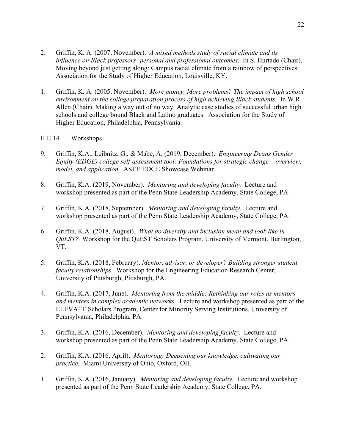- 2. Griffin, K. A. (2007, November). *A mixed methods study of racial climate and its influence on Black professors' personal and professional outcomes*. In S. Hurtado (Chair), Moving beyond just getting along: Campus racial climate from a rainbow of perspectives. Association for the Study of Higher Education, Louisville, KY.
- 1. Griffin, K. A. (2005, November). *More money, More problems? The impact of high school environment on the college preparation process of high achieving Black students.* In W.R. Allen (Chair), Making a way out of no way: Analytic case studies of successful urban high schools and college bound Black and Latino graduates. Association for the Study of Higher Education, Philadelphia, Pennsylvania.

## II.E.14. Workshops

- 9. Griffin, K.A., Leibnitz, G., & Mabe, A. (2019, December). *Engineering Deans Gender Equity (EDGE) college self-assessment tool: Foundations for strategic change – overview, model, and application.* ASEE EDGE Showcase Webinar.
- 8. Griffin, K.A. (2019, November). *Mentoring and developing faculty.* Lecture and workshop presented as part of the Penn State Leadership Academy, State College, PA.
- 7. Griffin, K.A. (2018, September). *Mentoring and developing faculty.* Lecture and workshop presented as part of the Penn State Leadership Academy, State College, PA.
- 6. Griffin, K.A. (2018, August). *What do diversity and inclusion mean and look like in QuEST?* Workshop for the QuEST Scholars Program, University of Vermont, Burlington, VT.
- 5. Griffin, K.A. (2018, February). *Mentor, advisor, or developer? Building stronger student faculty relationships.* Workshop for the Engineering Education Research Center, University of Pittsburgh, Pittsburgh, PA.
- 4. Griffin, K.A. (2017, June). *Mentoring from the middle: Rethinking our roles as mentors and mentees in complex academic networks*. Lecture and workshop presented as part of the ELEVATE Scholars Program, Center for Minority Serving Institutions, University of Pennsylvania, Philadelphia, PA.
- 3. Griffin, K.A. (2016, December). *Mentoring and developing faculty.* Lecture and workshop presented as part of the Penn State Leadership Academy, State College, PA.
- 2. Griffin, K.A. (2016, April). *Mentoring: Deepening our knowledge, cultivating our practice.* Miami University of Ohio, Oxford, OH.
- 1. Griffin, K.A. (2016, January). *Mentoring and developing faculty.* Lecture and workshop presented as part of the Penn State Leadership Academy, State College, PA.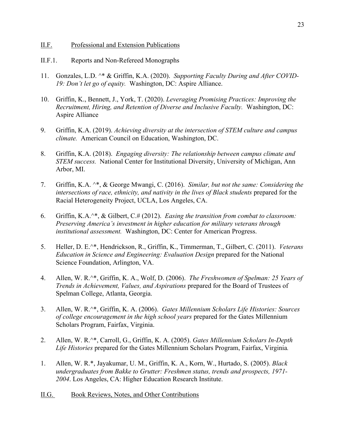- II.F. Professional and Extension Publications
- II.F.1. Reports and Non-Refereed Monographs
- 11. Gonzales, L.D. ^\* & Griffin, K.A. (2020). *Supporting Faculty During and After COVID-19: Don't let go of equity.* Washington, DC: Aspire Alliance.
- 10. Griffin, K., Bennett, J., York, T. (2020). *Leveraging Promising Practices: Improving the Recruitment, Hiring, and Retention of Diverse and Inclusive Faculty.* Washington, DC: Aspire Alliance
- 9. Griffin, K.A. (2019). *Achieving diversity at the intersection of STEM culture and campus climate.* American Council on Education, Washington, DC.
- 8. Griffin, K.A. (2018). *Engaging diversity: The relationship between campus climate and STEM success.* National Center for Institutional Diversity, University of Michigan, Ann Arbor, MI.
- 7. Griffin, K.A. ^\*, & George Mwangi, C. (2016). *Similar, but not the same: Considering the intersections of race, ethnicity, and nativity in the lives of Black students* prepared for the Racial Heterogeneity Project, UCLA, Los Angeles, CA.
- 6. Griffin, K.A.^\*, & Gilbert, C.# (2012). *Easing the transition from combat to classroom: Preserving America's investment in higher education for military veterans through institutional assessment.* Washington, DC: Center for American Progress.
- 5. Heller, D. E.^\*, Hendrickson, R., Griffin, K., Timmerman, T., Gilbert, C. (2011). *Veterans Education in Science and Engineering: Evaluation Design* prepared for the National Science Foundation, Arlington, VA.
- 4. Allen, W. R.^\*, Griffin, K. A., Wolf, D. (2006). *The Freshwomen of Spelman: 25 Years of Trends in Achievement, Values, and Aspirations* prepared for the Board of Trustees of Spelman College, Atlanta, Georgia.
- 3. Allen, W. R.^\*, Griffin, K. A. (2006). *Gates Millennium Scholars Life Histories: Sources of college encouragement in the high school years* prepared for the Gates Millennium Scholars Program, Fairfax, Virginia.
- 2. Allen, W. R.^\*, Carroll, G., Griffin, K. A. (2005). *Gates Millennium Scholars In-Depth Life Histories* prepared for the Gates Millennium Scholars Program, Fairfax, Virginia*.*
- 1. Allen, W. R.\*, Jayakumar, U. M., Griffin, K. A., Korn, W., Hurtado, S. (2005). *Black undergraduates from Bakke to Grutter: Freshmen status, trends and prospects, 1971- 2004*. Los Angeles, CA: Higher Education Research Institute.
- II.G. Book Reviews, Notes, and Other Contributions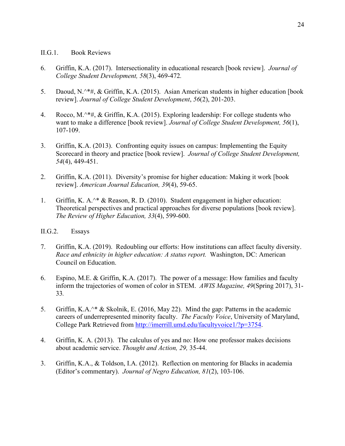#### II.G.1. Book Reviews

- 6. Griffin, K.A. (2017). Intersectionality in educational research [book review]. *Journal of College Student Development, 58*(3), 469-472*.*
- 5. Daoud, N.^\*#, & Griffin, K.A. (2015). Asian American students in higher education [book review]. *Journal of College Student Development*, *56*(2), 201-203.
- 4. Rocco, M.^\*#, & Griffin, K.A. (2015). Exploring leadership: For college students who want to make a difference [book review]. *Journal of College Student Development, 56*(1), 107-109.
- 3. Griffin, K.A. (2013). Confronting equity issues on campus: Implementing the Equity Scorecard in theory and practice [book review]. *Journal of College Student Development, 54*(4), 449-451.
- 2. Griffin, K.A. (2011). Diversity's promise for higher education: Making it work [book review]. *American Journal Education, 39*(4), 59-65.
- 1. Griffin, K. A.^\* & Reason, R. D. (2010). Student engagement in higher education: Theoretical perspectives and practical approaches for diverse populations [book review]. *The Review of Higher Education, 33*(4), 599-600.

## II.G.2. Essays

- 7. Griffin, K.A. (2019). Redoubling our efforts: How institutions can affect faculty diversity. *Race and ethnicity in higher education: A status report.* Washington, DC: American Council on Education.
- 6. Espino, M.E. & Griffin, K.A. (2017). The power of a message: How families and faculty inform the trajectories of women of color in STEM. *AWIS Magazine, 49*(Spring 2017), 31- 33*.*
- 5. Griffin, K.A.^\* & Skolnik, E. (2016, May 22). Mind the gap: Patterns in the academic careers of underrepresented minority faculty. *The Faculty Voice*, University of Maryland, College Park Retrieved from http://imerrill.umd.edu/facultyvoice1/?p=3754.
- 4. Griffin, K. A. (2013). The calculus of yes and no: How one professor makes decisions about academic service. *Thought and Action, 29,* 35-44.
- 3. Griffin, K.A., & Toldson, I.A. (2012). Reflection on mentoring for Blacks in academia (Editor's commentary). *Journal of Negro Education, 81*(2), 103-106.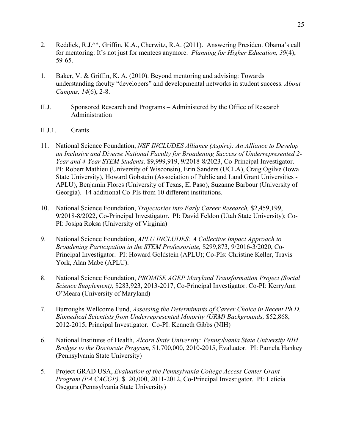- 2. Reddick, R.J.^\*, Griffin, K.A., Cherwitz, R.A. (2011). Answering President Obama's call for mentoring: It's not just for mentees anymore. *Planning for Higher Education, 39*(4), 59-65.
- 1. Baker, V. & Griffin, K. A. (2010). Beyond mentoring and advising: Towards understanding faculty "developers" and developmental networks in student success. *About Campus, 14*(6), 2-8.
- II.J. Sponsored Research and Programs Administered by the Office of Research Administration
- II.J.1. Grants
- 11. National Science Foundation, *NSF INCLUDES Alliance (Aspire): An Alliance to Develop an Inclusive and Diverse National Faculty for Broadening Success of Underrepresented 2- Year and 4-Year STEM Students,* \$9,999,919, 9/2018-8/2023, Co-Principal Investigator. PI: Robert Mathieu (University of Wisconsin), Erin Sanders (UCLA), Craig Ogilve (Iowa State University), Howard Gobstein (Association of Public and Land Grant Universities - APLU), Benjamin Flores (University of Texas, El Paso), Suzanne Barbour (University of Georgia). 14 additional Co-PIs from 10 different institutions.
- 10. National Science Foundation, *Trajectories into Early Career Research,* \$2,459,199, 9/2018-8/2022, Co-Principal Investigator. PI: David Feldon (Utah State University); Co-PI: Josipa Roksa (University of Virginia)
- 9. National Science Foundation, *APLU INCLUDES: A Collective Impact Approach to Broadening Participation in the STEM Professoriate,* \$299,873, 9/2016-3/2020, Co-Principal Investigator. PI: Howard Goldstein (APLU); Co-PIs: Christine Keller, Travis York, Alan Mabe (APLU).
- 8. National Science Foundation, *PROMISE AGEP Maryland Transformation Project (Social Science Supplement),* \$283,923, 2013-2017, Co-Principal Investigator. Co-PI: KerryAnn O'Meara (University of Maryland)
- 7. Burroughs Wellcome Fund, *Assessing the Determinants of Career Choice in Recent Ph.D. Biomedical Scientists from Underrepresented Minority (URM) Backgrounds,* \$52,868, 2012-2015, Principal Investigator. Co-PI: Kenneth Gibbs (NIH)
- 6. National Institutes of Health, *Alcorn State University: Pennsylvania State University NIH Bridges to the Doctorate Program,* \$1,700,000, 2010-2015, Evaluator. PI: Pamela Hankey (Pennsylvania State University)
- 5. Project GRAD USA, *Evaluation of the Pennsylvania College Access Center Grant Program (PA CACGP),* \$120,000, 2011-2012, Co-Principal Investigator. PI: Leticia Osegura (Pennsylvania State University)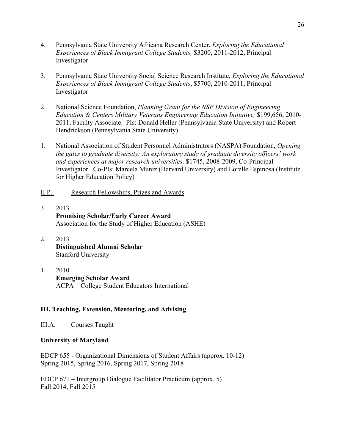- 4. Pennsylvania State University Africana Research Center, *Exploring the Educational Experiences of Black Immigrant College Students,* \$3200, 2011-2012, Principal Investigator
- 3. Pennsylvania State University Social Science Research Institute, *Exploring the Educational Experiences of Black Immigrant College Students*, \$5700, 2010-2011, Principal Investigator
- 2. National Science Foundation, *Planning Grant for the NSF Division of Engineering Education & Centers Military Veterans Engineering Education Initiative,* \$199,656, 2010- 2011, Faculty Associate. PIs: Donald Heller (Pennsylvania State University) and Robert Hendrickson (Pennsylvania State University)
- 1. National Association of Student Personnel Administrators (NASPA) Foundation, *Opening the gates to graduate diversity: An exploratory study of graduate diversity officers' work and experiences at major research universities,* \$1745, 2008-2009, Co-Principal Investigator. Co-PIs: Marcela Muniz (Harvard University) and Lorelle Espinosa (Institute for Higher Education Policy)
- II.P. Research Fellowships, Prizes and Awards
- 3. 2013 **Promising Scholar/Early Career Award** Association for the Study of Higher Education (ASHE)
- 2. 2013 **Distinguished Alumni Scholar** Stanford University
- 1. 2010 **Emerging Scholar Award** ACPA – College Student Educators International

## **III. Teaching, Extension, Mentoring, and Advising**

III.A. Courses Taught

## **University of Maryland**

EDCP 655 - Organizational Dimensions of Student Affairs (approx. 10-12) Spring 2015, Spring 2016, Spring 2017, Spring 2018

EDCP 671 – Intergroup Dialogue Facilitator Practicum (approx. 5) Fall 2014, Fall 2015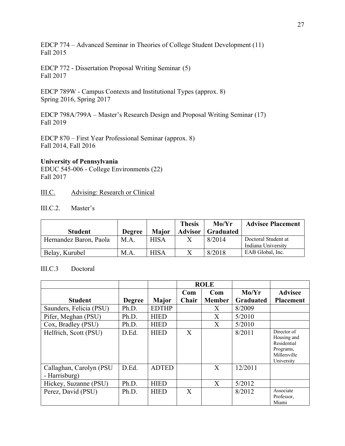EDCP 774 – Advanced Seminar in Theories of College Student Development (11) Fall 2015

EDCP 772 - Dissertation Proposal Writing Seminar (5) Fall 2017

EDCP 789W - Campus Contexts and Institutional Types (approx. 8) Spring 2016, Spring 2017

EDCP 798A/799A – Master's Research Design and Proposal Writing Seminar (17) Fall 2019

EDCP 870 – First Year Professional Seminar (approx. 8) Fall 2014, Fall 2016

#### **University of Pennsylvania**

EDUC 545-006 - College Environments (22) Fall 2017

## III.C. Advising: Research or Clinical

## III.C.2. Master's

|                        |               |              | <b>Thesis</b>  | Mo/Yr            | <b>Advisee Placement</b>                  |
|------------------------|---------------|--------------|----------------|------------------|-------------------------------------------|
| <b>Student</b>         | <b>Degree</b> | <b>Major</b> | <b>Advisor</b> | <b>Graduated</b> |                                           |
| Hernandez Baron, Paola | M.A.          | <b>HISA</b>  |                | 8/2014           | Doctoral Student at<br>Indiana University |
| Belay, Kurubel         | M.A.          | <b>HISA</b>  |                | 8/2018           | EAB Global, Inc.                          |

#### III.C.3 Doctoral

|                                          |               |              | <b>ROLE</b> |               |                  |                                                                                      |
|------------------------------------------|---------------|--------------|-------------|---------------|------------------|--------------------------------------------------------------------------------------|
|                                          |               |              | Com         | Com           | Mo/Yr            | <b>Advisee</b>                                                                       |
| <b>Student</b>                           | <b>Degree</b> | <b>Major</b> | Chair       | <b>Member</b> | <b>Graduated</b> | <b>Placement</b>                                                                     |
| Saunders, Felicia (PSU)                  | Ph.D.         | <b>EDTHP</b> |             | X             | 8/2009           |                                                                                      |
| Pifer, Meghan (PSU)                      | Ph.D.         | <b>HIED</b>  |             | $\mathbf{X}$  | 5/2010           |                                                                                      |
| Cox, Bradley (PSU)                       | Ph.D.         | <b>HIED</b>  |             | X             | 5/2010           |                                                                                      |
| Helfrich, Scott (PSU)                    | D.Ed.         | <b>HIED</b>  | X           |               | 8/2011           | Director of<br>Housing and<br>Residential<br>Programs,<br>Millersville<br>University |
| Callaghan, Carolyn (PSU<br>- Harrisburg) | D.Ed.         | <b>ADTED</b> |             | X             | 12/2011          |                                                                                      |
| Hickey, Suzanne (PSU)                    | Ph.D.         | <b>HIED</b>  |             | X             | 5/2012           |                                                                                      |
| Perez, David (PSU)                       | Ph.D.         | <b>HIED</b>  | X           |               | 8/2012           | Associate<br>Professor,<br>Miami                                                     |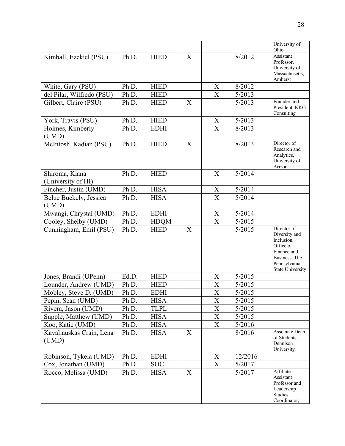|                                      |       |             |                           |                           |         | University of<br>Ohio                                                                                                              |
|--------------------------------------|-------|-------------|---------------------------|---------------------------|---------|------------------------------------------------------------------------------------------------------------------------------------|
| Kimball, Ezekiel (PSU)               | Ph.D. | <b>HIED</b> | X                         |                           | 8/2012  | Assistant<br>Professor,<br>University of<br>Massachusetts,<br>Amherst                                                              |
| White, Gary (PSU)                    | Ph.D. | <b>HIED</b> |                           | X                         | 8/2012  |                                                                                                                                    |
| del Pilar, Wilfredo (PSU)            | Ph.D. | <b>HIED</b> |                           | $\boldsymbol{\mathrm{X}}$ | 5/2013  |                                                                                                                                    |
| Gilbert, Claire (PSU)                | Ph.D. | <b>HIED</b> | X                         |                           | 5/2013  | Founder and<br>President, KKG<br>Consulting                                                                                        |
| York, Travis (PSU)                   | Ph.D. | <b>HIED</b> |                           | X                         | 5/2013  |                                                                                                                                    |
| Holmes, Kimberly<br>(UMD)            | Ph.D. | <b>EDHI</b> |                           | $\boldsymbol{\mathrm{X}}$ | 8/2013  |                                                                                                                                    |
| McIntosh, Kadian (PSU)               | Ph.D. | <b>HIED</b> | X                         |                           | 8/2013  | Director of<br>Research and<br>Analytics,<br>University of<br>Arizona                                                              |
| Shiroma, Kiana<br>(University of HI) | Ph.D. | <b>HIED</b> |                           | X                         | 5/2014  |                                                                                                                                    |
| Fincher, Justin (UMD)                | Ph.D. | <b>HISA</b> |                           | $\boldsymbol{X}$          | 5/2014  |                                                                                                                                    |
| Belue Buckely, Jessica<br>(UMD)      | Ph.D. | <b>HISA</b> |                           | $\overline{X}$            | 5/2014  |                                                                                                                                    |
| Mwangi, Chrystal (UMD)               | Ph.D. | <b>EDHI</b> |                           | $\boldsymbol{X}$          | 5/2014  |                                                                                                                                    |
| Cooley, Shelby (UMD)                 | Ph.D. | <b>HDQM</b> |                           | $\boldsymbol{\mathrm{X}}$ | 5/2015  |                                                                                                                                    |
| Cunningham, Emil (PSU)               | Ph.D. | <b>HIED</b> | $\boldsymbol{\mathrm{X}}$ |                           | 5/2015  | Director of<br>Diversity and<br>Inclusion,<br>Office of<br>Finance and<br>Business, The<br>Pennsylvania<br><b>State University</b> |
| Jones, Brandi (UPenn)                | Ed.D. | <b>HIED</b> |                           | X                         | 5/2015  |                                                                                                                                    |
| Lounder, Andrew (UMD)                | Ph.D. | <b>HIED</b> |                           | $\overline{X}$            | 5/2015  |                                                                                                                                    |
| Mobley, Steve D. (UMD)               | Ph.D. | <b>EDHI</b> |                           | $\mathbf X$               | 5/2015  |                                                                                                                                    |
| Pepin, Sean (UMD)                    | Ph.D. | <b>HISA</b> |                           | $\boldsymbol{\mathrm{X}}$ | 5/2015  |                                                                                                                                    |
| Rivera, Jason (UMD)                  | Ph.D. | <b>TLPL</b> |                           | $\mathbf X$               | 5/2015  |                                                                                                                                    |
| Supple, Matthew (UMD)                | Ph.D. | <b>HISA</b> |                           | $\mathbf X$               | 5/2015  |                                                                                                                                    |
| Koo, Katie (UMD)                     | Ph.D. | <b>HISA</b> |                           | X                         | 5/2016  |                                                                                                                                    |
| Kavaliauskas Crain, Lena<br>(UMD)    | Ph.D. | <b>HISA</b> | X                         |                           | 8/2016  | Associate Dean<br>of Students.<br>Dennison<br>University                                                                           |
| Robinson, Tykeia (UMD)               | Ph.D. | <b>EDHI</b> |                           | X                         | 12/2016 |                                                                                                                                    |
| Cox, Jonathan (UMD)                  | Ph.D  | <b>SOC</b>  |                           | X                         | 5/2017  |                                                                                                                                    |
| Rocco, Melissa (UMD)                 | Ph.D. | <b>HISA</b> | X                         |                           | 5/2017  | Affiliate<br>Assistant<br>Professor and<br>Leadership<br>Studies<br>Coordinator,                                                   |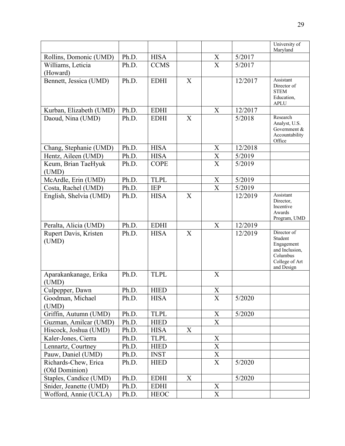|                                        |       |             |   |                           |         | University of                                                                                      |
|----------------------------------------|-------|-------------|---|---------------------------|---------|----------------------------------------------------------------------------------------------------|
|                                        | Ph.D. |             |   |                           |         | Maryland                                                                                           |
| Rollins, Domonic (UMD)                 | Ph.D. | <b>HISA</b> |   | X<br>$\overline{X}$       | 5/2017  |                                                                                                    |
| Williams, Leticia<br>(Howard)          |       | <b>CCMS</b> |   |                           | 5/2017  |                                                                                                    |
| Bennett, Jessica (UMD)                 | Ph.D. | <b>EDHI</b> | X |                           | 12/2017 | Assistant<br>Director of<br><b>STEM</b><br>Education,<br><b>APLU</b>                               |
| Kurban, Elizabeth (UMD)                | Ph.D. | <b>EDHI</b> |   | X                         | 12/2017 |                                                                                                    |
| Daoud, Nina (UMD)                      | Ph.D. | <b>EDHI</b> | X |                           | 5/2018  | Research<br>Analyst, U.S.<br>Government &<br>Accountability<br>Office                              |
| Chang, Stephanie (UMD)                 | Ph.D. | <b>HISA</b> |   | X                         | 12/2018 |                                                                                                    |
| Hentz, Aileen (UMD)                    | Ph.D. | <b>HISA</b> |   | $\mathbf X$               | 5/2019  |                                                                                                    |
| Keum, Brian TaeHyuk<br>(UMD)           | Ph.D. | <b>COPE</b> |   | $\mathbf X$               | 5/2019  |                                                                                                    |
| McArdle, Erin (UMD)                    | Ph.D. | <b>TLPL</b> |   | X                         | 5/2019  |                                                                                                    |
| Costa, Rachel (UMD)                    | Ph.D. | <b>IEP</b>  |   | $\boldsymbol{\mathrm{X}}$ | 5/2019  |                                                                                                    |
| English, Shelvia (UMD)                 | Ph.D. | <b>HISA</b> | X |                           | 12/2019 | Assistant<br>Director,<br>Incentive<br>Awards<br>Program, UMD                                      |
| Peralta, Alicia (UMD)                  | Ph.D. | <b>EDHI</b> |   | X                         | 12/2019 |                                                                                                    |
| Rupert Davis, Kristen<br>(UMD)         | Ph.D. | <b>HISA</b> | X |                           | 12/2019 | Director of<br>Student<br>Engagement<br>and Inclusion,<br>Columbus<br>College of Art<br>and Design |
| Aparakankanage, Erika<br>(UMD)         | Ph.D. | <b>TLPL</b> |   | X                         |         |                                                                                                    |
| Culpepper, Dawn                        | Ph.D. | <b>HIED</b> |   | X                         |         |                                                                                                    |
| Goodman, Michael<br>(UMD)              | Ph.D. | <b>HISA</b> |   | X                         | 5/2020  |                                                                                                    |
| Griffin, Autumn (UMD)                  | Ph.D. | <b>TLPL</b> |   | X                         | 5/2020  |                                                                                                    |
| Guzman, Amilcar (UMD)                  | Ph.D. | <b>HIED</b> |   | X                         |         |                                                                                                    |
| Hiscock, Joshua (UMD)                  | Ph.D. | <b>HISA</b> | X |                           |         |                                                                                                    |
| Kaler-Jones, Cierra                    | Ph.D. | <b>TLPL</b> |   | X                         |         |                                                                                                    |
| Lennartz, Courtney                     | Ph.D. | <b>HIED</b> |   | $\mathbf X$               |         |                                                                                                    |
| Pauw, Daniel (UMD)                     | Ph.D. | <b>INST</b> |   | X                         |         |                                                                                                    |
| Richards-Chew, Erica<br>(Old Dominion) | Ph.D. | <b>HIED</b> |   | $\mathbf X$               | 5/2020  |                                                                                                    |
| Staples, Candice (UMD)                 | Ph.D. | <b>EDHI</b> | X |                           | 5/2020  |                                                                                                    |
| Snider, Jeanette (UMD)                 | Ph.D. | <b>EDHI</b> |   | X                         |         |                                                                                                    |
| Wofford, Annie (UCLA)                  | Ph.D. | <b>HEOC</b> |   | $\boldsymbol{\mathrm{X}}$ |         |                                                                                                    |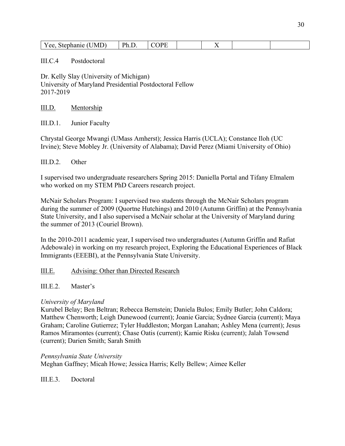| $\Delta \Delta$<br>v<br>--<br>$\sim$ $\sim$ $\sim$ $\sim$<br>$ -$ | ,,, |  | -<br>. . |  |
|-------------------------------------------------------------------|-----|--|----------|--|

## III.C.4 Postdoctoral

Dr. Kelly Slay (University of Michigan) University of Maryland Presidential Postdoctoral Fellow 2017-2019

III.D. Mentorship

III.D.1. Junior Faculty

Chrystal George Mwangi (UMass Amherst); Jessica Harris (UCLA); Constance Iloh (UC Irvine); Steve Mobley Jr. (University of Alabama); David Perez (Miami University of Ohio)

## III.D.2. Other

I supervised two undergraduate researchers Spring 2015: Daniella Portal and Tifany Elmalem who worked on my STEM PhD Careers research project.

McNair Scholars Program: I supervised two students through the McNair Scholars program during the summer of 2009 (Quortne Hutchings) and 2010 (Autumn Griffin) at the Pennsylvania State University, and I also supervised a McNair scholar at the University of Maryland during the summer of 2013 (Couriel Brown).

In the 2010-2011 academic year, I supervised two undergraduates (Autumn Griffin and Rafiat Adebowale) in working on my research project, Exploring the Educational Experiences of Black Immigrants (EEEBI), at the Pennsylvania State University.

## III.E. Advising: Other than Directed Research

## III.E.2. Master's

## *University of Maryland*

Kurubel Belay; Ben Beltran; Rebecca Bernstein; Daniela Bulos; Emily Butler; John Caldora; Matthew Chenworth; Leigh Dunewood (current); Joanie Garcia; Sydnee Garcia (current); Maya Graham; Caroline Gutierrez; Tyler Huddleston; Morgan Lanahan; Ashley Mena (current); Jesus Ramos Miramontes (current); Chase Oatis (current); Kamie Risku (current); Jalah Towsend (current); Darien Smith; Sarah Smith

## *Pennsylvania State University*

Meghan Gaffney; Micah Howe; Jessica Harris; Kelly Bellew; Aimee Keller

III.E.3. Doctoral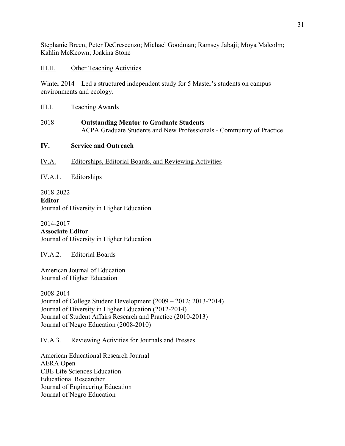Stephanie Breen; Peter DeCrescenzo; Michael Goodman; Ramsey Jabaji; Moya Malcolm; Kahlin McKeown; Joakina Stone

## III.H. Other Teaching Activities

Winter 2014 – Led a structured independent study for 5 Master's students on campus environments and ecology.

III.I. Teaching Awards

# 2018 **Outstanding Mentor to Graduate Students** ACPA Graduate Students and New Professionals - Community of Practice

# **IV. Service and Outreach**

- IV.A. Editorships, Editorial Boards, and Reviewing Activities
- IV.A.1. Editorships

2018-2022 **Editor** Journal of Diversity in Higher Education

2014-2017 **Associate Editor** Journal of Diversity in Higher Education

IV.A.2. Editorial Boards

American Journal of Education Journal of Higher Education

2008-2014 Journal of College Student Development (2009 – 2012; 2013-2014) Journal of Diversity in Higher Education (2012-2014) Journal of Student Affairs Research and Practice (2010-2013) Journal of Negro Education (2008-2010)

IV.A.3. Reviewing Activities for Journals and Presses

American Educational Research Journal AERA Open CBE Life Sciences Education Educational Researcher Journal of Engineering Education Journal of Negro Education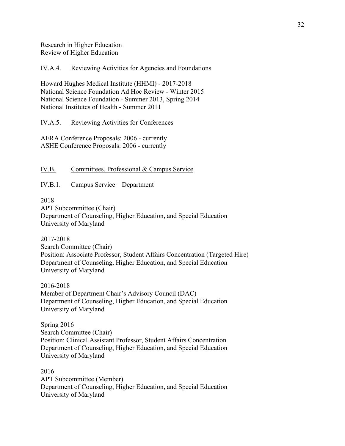Research in Higher Education Review of Higher Education

IV.A.4. Reviewing Activities for Agencies and Foundations

Howard Hughes Medical Institute (HHMI) - 2017-2018 National Science Foundation Ad Hoc Review - Winter 2015 National Science Foundation - Summer 2013, Spring 2014 National Institutes of Health - Summer 2011

IV.A.5. Reviewing Activities for Conferences

AERA Conference Proposals: 2006 - currently ASHE Conference Proposals: 2006 - currently

IV.B. Committees, Professional & Campus Service

IV.B.1. Campus Service – Department

2018

APT Subcommittee (Chair) Department of Counseling, Higher Education, and Special Education University of Maryland

2017-2018 Search Committee (Chair) Position: Associate Professor, Student Affairs Concentration (Targeted Hire) Department of Counseling, Higher Education, and Special Education University of Maryland

2016-2018 Member of Department Chair's Advisory Council (DAC) Department of Counseling, Higher Education, and Special Education University of Maryland

Spring 2016 Search Committee (Chair) Position: Clinical Assistant Professor, Student Affairs Concentration Department of Counseling, Higher Education, and Special Education University of Maryland

2016 APT Subcommittee (Member) Department of Counseling, Higher Education, and Special Education University of Maryland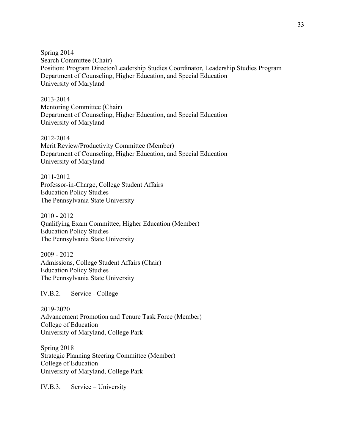Spring 2014 Search Committee (Chair) Position: Program Director/Leadership Studies Coordinator, Leadership Studies Program Department of Counseling, Higher Education, and Special Education University of Maryland

2013-2014 Mentoring Committee (Chair) Department of Counseling, Higher Education, and Special Education University of Maryland

2012-2014 Merit Review/Productivity Committee (Member) Department of Counseling, Higher Education, and Special Education University of Maryland

2011-2012 Professor-in-Charge, College Student Affairs Education Policy Studies The Pennsylvania State University

2010 - 2012 Qualifying Exam Committee, Higher Education (Member) Education Policy Studies The Pennsylvania State University

2009 - 2012 Admissions, College Student Affairs (Chair) Education Policy Studies The Pennsylvania State University

IV.B.2. Service - College

2019-2020 Advancement Promotion and Tenure Task Force (Member) College of Education University of Maryland, College Park

Spring 2018 Strategic Planning Steering Committee (Member) College of Education University of Maryland, College Park

IV.B.3. Service – University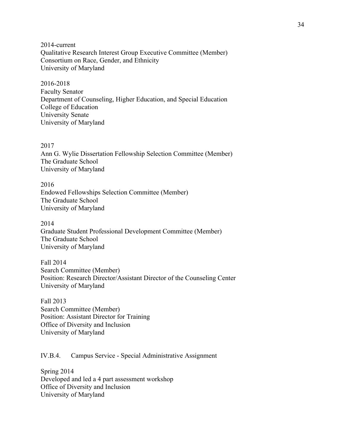2014-current Qualitative Research Interest Group Executive Committee (Member) Consortium on Race, Gender, and Ethnicity University of Maryland

2016-2018 Faculty Senator Department of Counseling, Higher Education, and Special Education College of Education University Senate University of Maryland

2017 Ann G. Wylie Dissertation Fellowship Selection Committee (Member) The Graduate School University of Maryland

2016 Endowed Fellowships Selection Committee (Member) The Graduate School University of Maryland

2014 Graduate Student Professional Development Committee (Member) The Graduate School University of Maryland

Fall 2014 Search Committee (Member) Position: Research Director/Assistant Director of the Counseling Center University of Maryland

Fall 2013 Search Committee (Member) Position: Assistant Director for Training Office of Diversity and Inclusion University of Maryland

IV.B.4. Campus Service - Special Administrative Assignment

Spring 2014 Developed and led a 4 part assessment workshop Office of Diversity and Inclusion University of Maryland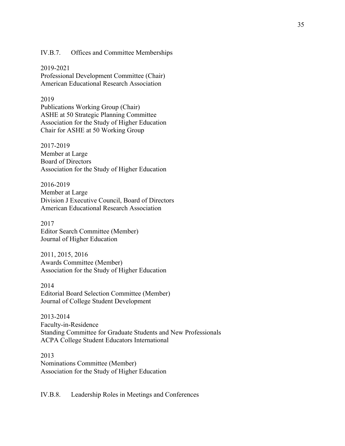IV.B.7. Offices and Committee Memberships

2019-2021 Professional Development Committee (Chair) American Educational Research Association

#### 2019

Publications Working Group (Chair) ASHE at 50 Strategic Planning Committee Association for the Study of Higher Education Chair for ASHE at 50 Working Group

2017-2019 Member at Large Board of Directors Association for the Study of Higher Education

2016-2019 Member at Large Division J Executive Council, Board of Directors American Educational Research Association

2017 Editor Search Committee (Member) Journal of Higher Education

2011, 2015, 2016 Awards Committee (Member) Association for the Study of Higher Education

2014 Editorial Board Selection Committee (Member) Journal of College Student Development

2013-2014 Faculty-in-Residence Standing Committee for Graduate Students and New Professionals ACPA College Student Educators International

2013 Nominations Committee (Member) Association for the Study of Higher Education

IV.B.8. Leadership Roles in Meetings and Conferences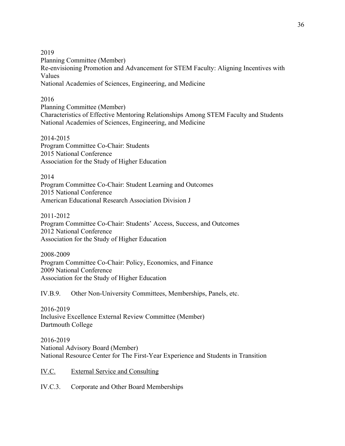2019 Planning Committee (Member) Re-envisioning Promotion and Advancement for STEM Faculty: Aligning Incentives with Values National Academies of Sciences, Engineering, and Medicine

## 2016

Planning Committee (Member) Characteristics of Effective Mentoring Relationships Among STEM Faculty and Students National Academies of Sciences, Engineering, and Medicine

2014-2015 Program Committee Co-Chair: Students 2015 National Conference Association for the Study of Higher Education

2014 Program Committee Co-Chair: Student Learning and Outcomes 2015 National Conference American Educational Research Association Division J

2011-2012 Program Committee Co-Chair: Students' Access, Success, and Outcomes 2012 National Conference Association for the Study of Higher Education

2008-2009 Program Committee Co-Chair: Policy, Economics, and Finance 2009 National Conference Association for the Study of Higher Education

IV.B.9. Other Non-University Committees, Memberships, Panels, etc.

2016-2019 Inclusive Excellence External Review Committee (Member) Dartmouth College

2016-2019 National Advisory Board (Member) National Resource Center for The First-Year Experience and Students in Transition

IV.C. External Service and Consulting

IV.C.3. Corporate and Other Board Memberships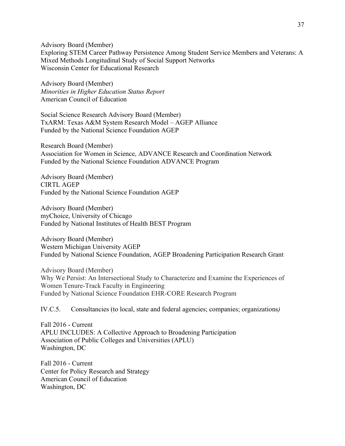Advisory Board (Member)

Exploring STEM Career Pathway Persistence Among Student Service Members and Veterans: A Mixed Methods Longitudinal Study of Social Support Networks Wisconsin Center for Educational Research

Advisory Board (Member) *Minorities in Higher Education Status Report* American Council of Education

Social Science Research Advisory Board (Member) TxARM: Texas A&M System Research Model – AGEP Alliance Funded by the National Science Foundation AGEP

Research Board (Member) Association for Women in Science, ADVANCE Research and Coordination Network Funded by the National Science Foundation ADVANCE Program

Advisory Board (Member) CIRTL AGEP Funded by the National Science Foundation AGEP

Advisory Board (Member) myChoice, University of Chicago Funded by National Institutes of Health BEST Program

Advisory Board (Member) Western Michigan University AGEP Funded by National Science Foundation, AGEP Broadening Participation Research Grant

Advisory Board (Member) Why We Persist: An Intersectional Study to Characterize and Examine the Experiences of Women Tenure-Track Faculty in Engineering Funded by National Science Foundation EHR-CORE Research Program

IV.C.5. Consultancies (to local, state and federal agencies; companies; organizations*)*

Fall 2016 - Current APLU INCLUDES: A Collective Approach to Broadening Participation Association of Public Colleges and Universities (APLU) Washington, DC

Fall 2016 - Current Center for Policy Research and Strategy American Council of Education Washington, DC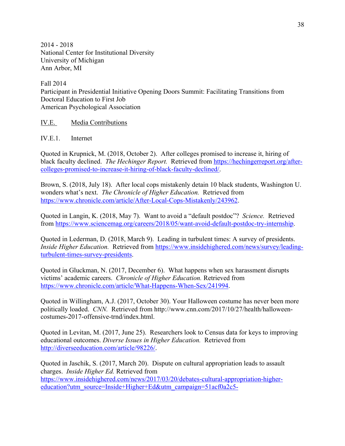2014 - 2018 National Center for Institutional Diversity University of Michigan Ann Arbor, MI

Fall 2014 Participant in Presidential Initiative Opening Doors Summit: Facilitating Transitions from Doctoral Education to First Job American Psychological Association

IV.E. Media Contributions

IV.E.1. Internet

Quoted in Krupnick, M. (2018, October 2). After colleges promised to increase it, hiring of black faculty declined. *The Hechinger Report.* Retrieved from https://hechingerreport.org/aftercolleges-promised-to-increase-it-hiring-of-black-faculty-declined/.

Brown, S. (2018, July 18). After local cops mistakenly detain 10 black students, Washington U. wonders what's next. *The Chronicle of Higher Education.* Retrieved from https://www.chronicle.com/article/After-Local-Cops-Mistakenly/243962.

Quoted in Langin, K. (2018, May 7). Want to avoid a "default postdoc"? *Science.* Retrieved from https://www.sciencemag.org/careers/2018/05/want-avoid-default-postdoc-try-internship.

Quoted in Lederman, D. (2018, March 9). Leading in turbulent times: A survey of presidents. *Inside Higher Education.* Retrieved from https://www.insidehighered.com/news/survey/leadingturbulent-times-survey-presidents.

Quoted in Gluckman, N. (2017, December 6). What happens when sex harassment disrupts victims' academic careers. *Chronicle of Higher Education.* Retrieved from https://www.chronicle.com/article/What-Happens-When-Sex/241994.

Quoted in Willingham, A.J. (2017, October 30). Your Halloween costume has never been more politically loaded. *CNN.* Retrieved from http://www.cnn.com/2017/10/27/health/halloweencostumes-2017-offensive-trnd/index.html.

Quoted in Levitan, M. (2017, June 25). Researchers look to Census data for keys to improving educational outcomes. *Diverse Issues in Higher Education.* Retrieved from http://diverseeducation.com/article/98226/.

Quoted in Jaschik, S. (2017, March 20). Dispute on cultural appropriation leads to assault charges. *Inside Higher Ed.* Retrieved from https://www.insidehighered.com/news/2017/03/20/debates-cultural-appropriation-highereducation?utm\_source=Inside+Higher+Ed&utm\_campaign=51acf0a2c5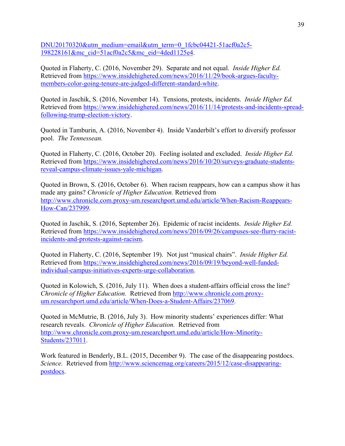DNU20170320&utm\_medium=email&utm\_term=0\_1fcbc04421-51acf0a2c5- 198228161&mc\_cid=51acf0a2c5&mc\_eid=4ded1125e4.

Quoted in Flaherty, C. (2016, November 29). Separate and not equal. *Inside Higher Ed.*  Retrieved from https://www.insidehighered.com/news/2016/11/29/book-argues-facultymembers-color-going-tenure-are-judged-different-standard-white.

Quoted in Jaschik, S. (2016, November 14). Tensions, protests, incidents. *Inside Higher Ed.*  Retrieved from https://www.insidehighered.com/news/2016/11/14/protests-and-incidents-spreadfollowing-trump-election-victory.

Quoted in Tamburin, A. (2016, November 4). Inside Vanderbilt's effort to diversify professor pool. *The Tennessean.* 

Quoted in Flaherty, C. (2016, October 20). Feeling isolated and excluded. *Inside Higher Ed.*  Retrieved from https://www.insidehighered.com/news/2016/10/20/surveys-graduate-studentsreveal-campus-climate-issues-yale-michigan.

Quoted in Brown, S. (2016, October 6). When racism reappears, how can a campus show it has made any gains? *Chronicle of Higher Education.* Retrieved from http://www.chronicle.com.proxy-um.researchport.umd.edu/article/When-Racism-Reappears-How-Can/237999.

Quoted in Jaschik, S. (2016, September 26). Epidemic of racist incidents. *Inside Higher Ed.*  Retrieved from https://www.insidehighered.com/news/2016/09/26/campuses-see-flurry-racistincidents-and-protests-against-racism.

Quoted in Flaherty, C. (2016, September 19). Not just "musical chairs". *Inside Higher Ed.*  Retrieved from https://www.insidehighered.com/news/2016/09/19/beyond-well-fundedindividual-campus-initiatives-experts-urge-collaboration.

Quoted in Kolowich, S. (2016, July 11). When does a student-affairs official cross the line? *Chronicle of Higher Education.* Retrieved from http://www.chronicle.com.proxyum.researchport.umd.edu/article/When-Does-a-Student-Affairs/237069.

Quoted in McMutrie, B. (2016, July 3). How minority students' experiences differ: What research reveals. *Chronicle of Higher Education.* Retrieved from http://www.chronicle.com.proxy-um.researchport.umd.edu/article/How-Minority-Students/237011.

Work featured in Benderly, B.L. (2015, December 9). The case of the disappearing postdocs. *Science.* Retrieved from http://www.sciencemag.org/careers/2015/12/case-disappearingpostdocs.